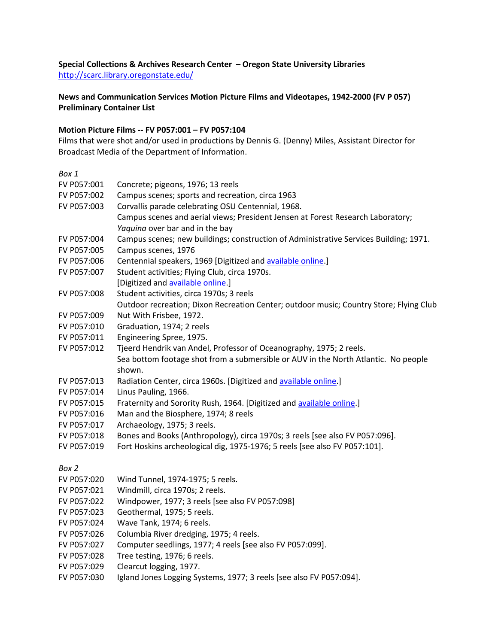# **Special Collections & Archives Research Center – Oregon State University Libraries** <http://scarc.library.oregonstate.edu/>

**News and Communication Services Motion Picture Films and Videotapes, 1942-2000 (FV P 057) Preliminary Container List**

## **Motion Picture Films -- FV P057:001 – FV P057:104**

Films that were shot and/or used in productions by Dennis G. (Denny) Miles, Assistant Director for Broadcast Media of the Department of Information.

| Box 1       |                                                                                        |
|-------------|----------------------------------------------------------------------------------------|
| FV P057:001 | Concrete; pigeons, 1976; 13 reels                                                      |
| FV P057:002 | Campus scenes; sports and recreation, circa 1963                                       |
| FV P057:003 | Corvallis parade celebrating OSU Centennial, 1968.                                     |
|             | Campus scenes and aerial views; President Jensen at Forest Research Laboratory;        |
|             | Yaquina over bar and in the bay                                                        |
| FV P057:004 | Campus scenes; new buildings; construction of Administrative Services Building; 1971.  |
| FV P057:005 | Campus scenes, 1976                                                                    |
| FV P057:006 | Centennial speakers, 1969 [Digitized and available online.]                            |
| FV P057:007 | Student activities; Flying Club, circa 1970s.                                          |
|             | [Digitized and available online.]                                                      |
| FV P057:008 | Student activities, circa 1970s; 3 reels                                               |
|             | Outdoor recreation; Dixon Recreation Center; outdoor music; Country Store; Flying Club |
| FV P057:009 | Nut With Frisbee, 1972.                                                                |
| FV P057:010 | Graduation, 1974; 2 reels                                                              |
| FV P057:011 | Engineering Spree, 1975.                                                               |
| FV P057:012 | Tjeerd Hendrik van Andel, Professor of Oceanography, 1975; 2 reels.                    |
|             | Sea bottom footage shot from a submersible or AUV in the North Atlantic. No people     |
|             | shown.                                                                                 |
| FV P057:013 | Radiation Center, circa 1960s. [Digitized and available online.]                       |
| FV P057:014 | Linus Pauling, 1966.                                                                   |
| FV P057:015 | Fraternity and Sorority Rush, 1964. [Digitized and available online.]                  |
| FV P057:016 | Man and the Biosphere, 1974; 8 reels                                                   |
| FV P057:017 | Archaeology, 1975; 3 reels.                                                            |
| FV P057:018 | Bones and Books (Anthropology), circa 1970s; 3 reels [see also FV P057:096].           |
| FV P057:019 | Fort Hoskins archeological dig, 1975-1976; 5 reels [see also FV P057:101].             |
| Box 2       |                                                                                        |
| FV P057:020 | Wind Tunnel, 1974-1975; 5 reels.                                                       |
| FV P057:021 | Windmill, circa 1970s; 2 reels.                                                        |
| FV P057:022 | Windpower, 1977; 3 reels [see also FV P057:098]                                        |
| FV P057:023 | Geothermal, 1975; 5 reels.                                                             |
| FV P057:024 | Wave Tank, 1974; 6 reels.                                                              |
| FV P057:026 | Columbia River dredging, 1975; 4 reels.                                                |
| FV P057:027 | Computer seedlings, 1977; 4 reels [see also FV P057:099].                              |
| FV P057:028 | Tree testing, 1976; 6 reels.                                                           |

- FV P057:029 Clearcut logging, 1977.
- FV P057:030 Igland Jones Logging Systems, 1977; 3 reels [see also FV P057:094].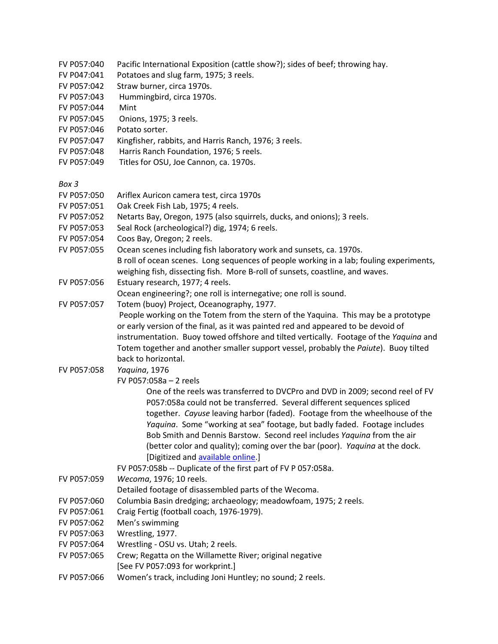- FV P057:040 Pacific International Exposition (cattle show?); sides of beef; throwing hay.
- FV P047:041 Potatoes and slug farm, 1975; 3 reels.
- FV P057:042 Straw burner, circa 1970s.
- FV P057:043 Hummingbird, circa 1970s.
- FV P057:044 Mint
- FV P057:045 Onions, 1975; 3 reels.
- FV P057:046 Potato sorter.
- FV P057:047 Kingfisher, rabbits, and Harris Ranch, 1976; 3 reels.
- FV P057:048 Harris Ranch Foundation, 1976; 5 reels.
- FV P057:049 Titles for OSU, Joe Cannon, ca. 1970s.

*Box 3* 

- FV P057:050 Ariflex Auricon camera test, circa 1970s
- FV P057:051 Oak Creek Fish Lab, 1975; 4 reels.
- FV P057:052 Netarts Bay, Oregon, 1975 (also squirrels, ducks, and onions); 3 reels.
- FV P057:053 Seal Rock (archeological?) dig, 1974; 6 reels.
- FV P057:054 Coos Bay, Oregon; 2 reels.
- FV P057:055 Ocean scenes including fish laboratory work and sunsets, ca. 1970s.
	- B roll of ocean scenes. Long sequences of people working in a lab; fouling experiments, weighing fish, dissecting fish. More B-roll of sunsets, coastline, and waves.
- FV P057:056 Estuary research, 1977; 4 reels.

Ocean engineering?; one roll is internegative; one roll is sound.

- FV P057:057 Totem (buoy) Project, Oceanography, 1977.
	- People working on the Totem from the stern of the Yaquina. This may be a prototype or early version of the final, as it was painted red and appeared to be devoid of instrumentation. Buoy towed offshore and tilted vertically. Footage of the *Yaquina* and Totem together and another smaller support vessel, probably the *Paiute*). Buoy tilted back to horizontal.
- FV P057:058 *Yaquina*, 1976
	- FV P057:058a 2 reels

One of the reels was transferred to DVCPro and DVD in 2009; second reel of FV P057:058a could not be transferred. Several different sequences spliced together. *Cayuse* leaving harbor (faded). Footage from the wheelhouse of the *Yaquina*. Some "working at sea" footage, but badly faded. Footage includes Bob Smith and Dennis Barstow. Second reel includes *Yaquina* from the air (better color and quality); coming over the bar (poor). *Yaquina* at the dock. [Digitized and [available online.](http://media.oregonstate.edu/media/t/0_4klge39u/2947392)]

- FV P057:058b -- Duplicate of the first part of FV P 057:058a.
- FV P057:059 *Wecoma*, 1976; 10 reels.
	- Detailed footage of disassembled parts of the Wecoma.
- FV P057:060 Columbia Basin dredging; archaeology; meadowfoam, 1975; 2 reels.
- FV P057:061 Craig Fertig (football coach, 1976-1979).
- FV P057:062 Men's swimming
- FV P057:063 Wrestling, 1977.
- FV P057:064 Wrestling OSU vs. Utah; 2 reels.
- FV P057:065 Crew; Regatta on the Willamette River; original negative [See FV P057:093 for workprint.]
- FV P057:066 Women's track, including Joni Huntley; no sound; 2 reels.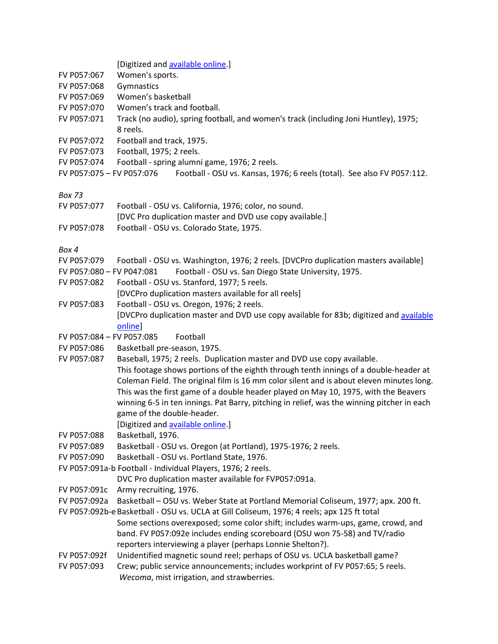|  | [Digitized and available online.] |  |
|--|-----------------------------------|--|
|--|-----------------------------------|--|

- FV P057:067 Women's sports.
- FV P057:068 Gymnastics
- FV P057:069 Women's basketball
- FV P057:070 Women's track and football.
- FV P057:071 Track (no audio), spring football, and women's track (including Joni Huntley), 1975; 8 reels.
- FV P057:072 Football and track, 1975.
- FV P057:073 Football, 1975; 2 reels.
- FV P057:074 Football spring alumni game, 1976; 2 reels.
- FV P057:075 FV P057:076 Football OSU vs. Kansas, 1976; 6 reels (total). See also FV P057:112.

*Box 73* 

- FV P057:077 Football OSU vs. California, 1976; color, no sound.
- [DVC Pro duplication master and DVD use copy available.]
- FV P057:078 Football OSU vs. Colorado State, 1975.

- FV P057:079 Football OSU vs. Washington, 1976; 2 reels. [DVCPro duplication masters available]
- FV P057:080 FV P047:081 Football OSU vs. San Diego State University, 1975.
- FV P057:082 Football OSU vs. Stanford, 1977; 5 reels.
- [DVCPro duplication masters available for all reels]
- FV P057:083 Football OSU vs. Oregon, 1976; 2 reels. [DVCPro duplication master and DVD use copy available for 83b; digitized and [available](http://media.oregonstate.edu/media/t/0_v5n7xoo5/2947392)  [online\]](http://media.oregonstate.edu/media/t/0_v5n7xoo5/2947392)
- FV P057:084 FV P057:085 Football
- FV P057:086 Basketball pre-season, 1975.
- FV P057:087 Baseball, 1975; 2 reels. Duplication master and DVD use copy available.
- This footage shows portions of the eighth through tenth innings of a double-header at Coleman Field. The original film is 16 mm color silent and is about eleven minutes long. This was the first game of a double header played on May 10, 1975, with the Beavers winning 6-5 in ten innings. Pat Barry, pitching in relief, was the winning pitcher in each game of the double-header.
	- [Digitized and [available online.](http://media.oregonstate.edu/media/t/0_92yxdzk1)]
- FV P057:088 Basketball, 1976.
- FV P057:089 Basketball OSU vs. Oregon (at Portland), 1975-1976; 2 reels.
- FV P057:090 Basketball OSU vs. Portland State, 1976.
- FV P057:091a-b Football Individual Players, 1976; 2 reels.
	- DVC Pro duplication master available for FVP057:091a.
- FV P057:091c Army recruiting, 1976.
- FV P057:092a Basketball OSU vs. Weber State at Portland Memorial Coliseum, 1977; apx. 200 ft.
- FV P057:092b-eBasketball OSU vs. UCLA at Gill Coliseum, 1976; 4 reels; apx 125 ft total Some sections overexposed; some color shift; includes warm-ups, game, crowd, and band. FV P057:092e includes ending scoreboard (OSU won 75-58) and TV/radio reporters interviewing a player (perhaps Lonnie Shelton?).
- FV P057:092f Unidentified magnetic sound reel; perhaps of OSU vs. UCLA basketball game?
- FV P057:093 Crew; public service announcements; includes workprint of FV P057:65; 5 reels. *Wecoma*, mist irrigation, and strawberries.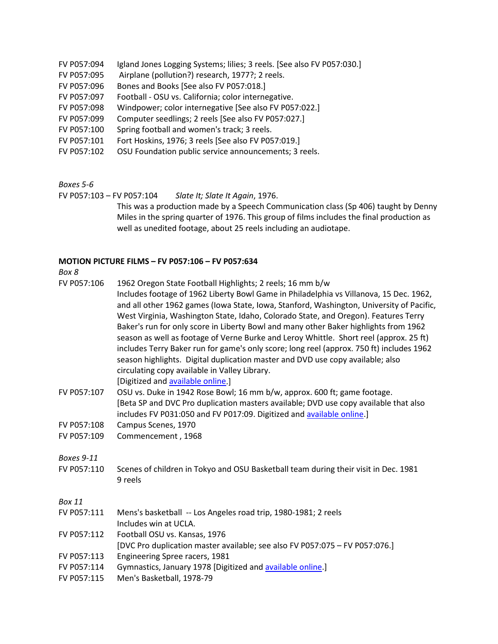- FV P057:094 Igland Jones Logging Systems; lilies; 3 reels. [See also FV P057:030.]
- FV P057:095 Airplane (pollution?) research, 1977?; 2 reels.
- FV P057:096 Bones and Books [See also FV P057:018.]
- FV P057:097 Football OSU vs. California; color internegative.
- FV P057:098 Windpower; color internegative [See also FV P057:022.]
- FV P057:099 Computer seedlings; 2 reels [See also FV P057:027.]
- FV P057:100 Spring football and women's track; 3 reels.
- FV P057:101 Fort Hoskins, 1976; 3 reels [See also FV P057:019.]
- FV P057:102 OSU Foundation public service announcements; 3 reels.

*Boxes 5-6* 

FV P057:103 – FV P057:104 *Slate It; Slate It Again*, 1976.

This was a production made by a Speech Communication class (Sp 406) taught by Denny Miles in the spring quarter of 1976. This group of films includes the final production as well as unedited footage, about 25 reels including an audiotape.

### **MOTION PICTURE FILMS – FV P057:106 – FV P057:634**

### *Box 8*

- FV P057:106 1962 Oregon State Football Highlights; 2 reels; 16 mm b/w
	- Includes footage of 1962 Liberty Bowl Game in Philadelphia vs Villanova, 15 Dec. 1962, and all other 1962 games (Iowa State, Iowa, Stanford, Washington, University of Pacific, West Virginia, Washington State, Idaho, Colorado State, and Oregon). Features Terry Baker's run for only score in Liberty Bowl and many other Baker highlights from 1962 season as well as footage of Verne Burke and Leroy Whittle. Short reel (approx. 25 ft) includes Terry Baker run for game's only score; long reel (approx. 750 ft) includes 1962 season highlights. Digital duplication master and DVD use copy available; also circulating copy available in Valley Library.

[Digitized and [available online.](http://media.oregonstate.edu/media/t/0_gad1ifum/2947392)]

- FV P057:107 OSU vs. Duke in 1942 Rose Bowl; 16 mm b/w, approx. 600 ft; game footage. [Beta SP and DVC Pro duplication masters available; DVD use copy available that also includes FV P031:050 and FV P017:09. Digitized and [available online.](https://media.oregonstate.edu/media/t/0_2dkbgo89)]
- FV P057:108 Campus Scenes, 1970
- FV P057:109 Commencement , 1968

*Boxes 9-11* 

FV P057:110 Scenes of children in Tokyo and OSU Basketball team during their visit in Dec. 1981 9 reels

- FV P057:111 Mens's basketball -- Los Angeles road trip, 1980-1981; 2 reels Includes win at UCLA.
- FV P057:112 Football OSU vs. Kansas, 1976
- [DVC Pro duplication master available; see also FV P057:075 FV P057:076.]
- FV P057:113 Engineering Spree racers, 1981
- FV P057:114 Gymnastics, January 1978 [Digitized and **available online.**]
- FV P057:115 Men's Basketball, 1978-79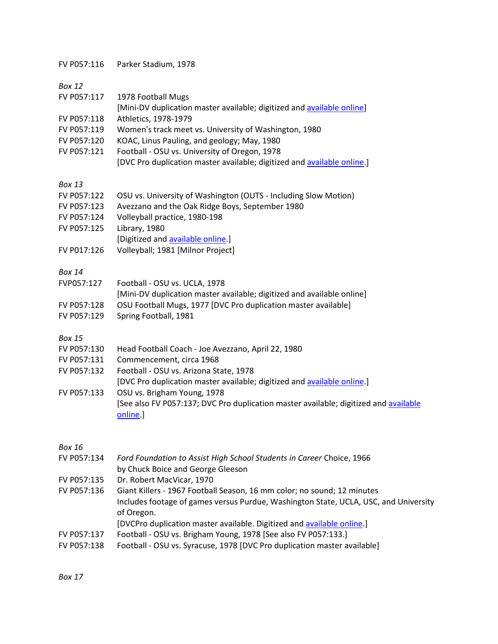FV P057:116 Parker Stadium, 1978

*Box 12* 

- FV P057:117 1978 Football Mugs
- [Mini-DV duplication master available; digitized an[d available online\]](https://media.oregonstate.edu/media/t/1_szotsv2p/2947392)
- FV P057:118 Athletics, 1978-1979
- FV P057:119 Women's track meet vs. University of Washington, 1980
- FV P057:120 KOAC, Linus Pauling, and geology; May, 1980
- FV P057:121 Football OSU vs. University of Oregon, 1978
	- [DVC Pro duplication master available; digitized an[d available online.](http://media.oregonstate.edu/media/t/0_8lut9rpu)]

*Box 13* 

- FV P057:122 OSU vs. University of Washington (OUTS Including Slow Motion)
- FV P057:123 Avezzano and the Oak Ridge Boys, September 1980
- FV P057:124 Volleyball practice, 1980-198
- FV P057:125 Library, 1980
- [Digitized and [available online.](https://media.oregonstate.edu/media/t/0_ksm0947v)]
- FV P017:126 Volleyball; 1981 [Milnor Project]

### *Box 14*

| FVP057:127  | Football - OSU vs. UCLA, 1978                                          |
|-------------|------------------------------------------------------------------------|
|             | [Mini-DV duplication master available; digitized and available online] |
| FV P057:128 | OSU Football Mugs, 1977 [DVC Pro duplication master available]         |
| FV P057:129 | Spring Football, 1981                                                  |

*Box 15* 

- FV P057:130 Head Football Coach Joe Avezzano, April 22, 1980
- FV P057:131 Commencement, circa 1968
- FV P057:132 Football OSU vs. Arizona State, 1978
- [DVC Pro duplication master available; digitized an[d available online.](http://media.oregonstate.edu/media/t/0_fgg1ttm9)]
- FV P057:133 OSU vs. Brigham Young, 1978 [See also FV P057:137; DVC Pro duplication master available; digitized and [available](http://media.oregonstate.edu/media/t/0_ry1uypju)  [online.](http://media.oregonstate.edu/media/t/0_ry1uypju)]

### *Box 16*

- FV P057:134 *Ford Foundation to Assist High School Students in Career* Choice, 1966 by Chuck Boice and George Gleeson
- FV P057:135 Dr. Robert MacVicar, 1970
- FV P057:136 Giant Killers 1967 Football Season, 16 mm color; no sound; 12 minutes Includes footage of games versus Purdue, Washington State, UCLA, USC, and University of Oregon.
	- [DVCPro duplication master available. Digitized and [available online.](http://media.oregonstate.edu/media/t/0_jtumwn7n)]
- FV P057:137 Football OSU vs. Brigham Young, 1978 [See also FV P057:133.]
- FV P057:138 Football OSU vs. Syracuse, 1978 [DVC Pro duplication master available]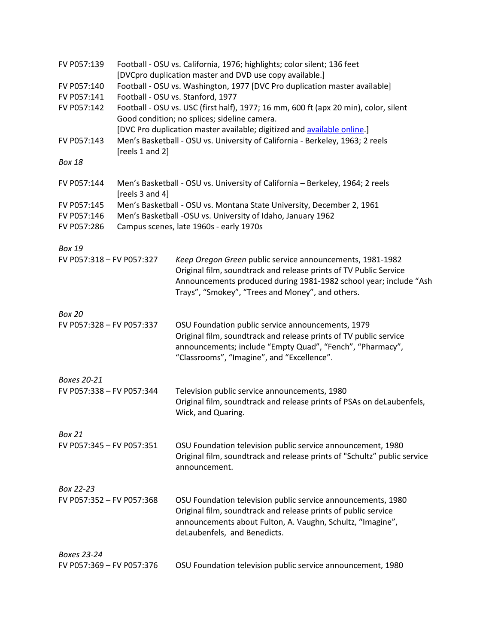| FV P057:139               |                 | Football - OSU vs. California, 1976; highlights; color silent; 136 feet<br>[DVCpro duplication master and DVD use copy available.]                                                                                                                      |
|---------------------------|-----------------|---------------------------------------------------------------------------------------------------------------------------------------------------------------------------------------------------------------------------------------------------------|
| FV P057:140               |                 | Football - OSU vs. Washington, 1977 [DVC Pro duplication master available]                                                                                                                                                                              |
| FV P057:141               |                 | Football - OSU vs. Stanford, 1977                                                                                                                                                                                                                       |
| FV P057:142               |                 | Football - OSU vs. USC (first half), 1977; 16 mm, 600 ft (apx 20 min), color, silent<br>Good condition; no splices; sideline camera.                                                                                                                    |
| FV P057:143               |                 | [DVC Pro duplication master available; digitized and available online.]<br>Men's Basketball - OSU vs. University of California - Berkeley, 1963; 2 reels                                                                                                |
|                           | [reels 1 and 2] |                                                                                                                                                                                                                                                         |
| <b>Box 18</b>             |                 |                                                                                                                                                                                                                                                         |
| FV P057:144               | [reels 3 and 4] | Men's Basketball - OSU vs. University of California - Berkeley, 1964; 2 reels                                                                                                                                                                           |
| FV P057:145               |                 | Men's Basketball - OSU vs. Montana State University, December 2, 1961                                                                                                                                                                                   |
| FV P057:146               |                 | Men's Basketball -OSU vs. University of Idaho, January 1962                                                                                                                                                                                             |
| FV P057:286               |                 | Campus scenes, late 1960s - early 1970s                                                                                                                                                                                                                 |
| <b>Box 19</b>             |                 |                                                                                                                                                                                                                                                         |
| FV P057:318 - FV P057:327 |                 | Keep Oregon Green public service announcements, 1981-1982<br>Original film, soundtrack and release prints of TV Public Service<br>Announcements produced during 1981-1982 school year; include "Ash<br>Trays", "Smokey", "Trees and Money", and others. |
| <b>Box 20</b>             |                 |                                                                                                                                                                                                                                                         |
| FV P057:328 - FV P057:337 |                 | OSU Foundation public service announcements, 1979<br>Original film, soundtrack and release prints of TV public service<br>announcements; include "Empty Quad", "Fench", "Pharmacy",<br>"Classrooms", "Imagine", and "Excellence".                       |
| Boxes 20-21               |                 |                                                                                                                                                                                                                                                         |
| FV P057:338 - FV P057:344 |                 | Television public service announcements, 1980<br>Original film, soundtrack and release prints of PSAs on deLaubenfels,<br>Wick, and Quaring.                                                                                                            |
| <b>Box 21</b>             |                 |                                                                                                                                                                                                                                                         |
| FV P057:345 - FV P057:351 |                 | OSU Foundation television public service announcement, 1980<br>Original film, soundtrack and release prints of "Schultz" public service<br>announcement.                                                                                                |
| Box 22-23                 |                 |                                                                                                                                                                                                                                                         |
| FV P057:352 - FV P057:368 |                 | OSU Foundation television public service announcements, 1980<br>Original film, soundtrack and release prints of public service<br>announcements about Fulton, A. Vaughn, Schultz, "Imagine",<br>deLaubenfels, and Benedicts.                            |
| <b>Boxes 23-24</b>        |                 |                                                                                                                                                                                                                                                         |
| FV P057:369 - FV P057:376 |                 | OSU Foundation television public service announcement, 1980                                                                                                                                                                                             |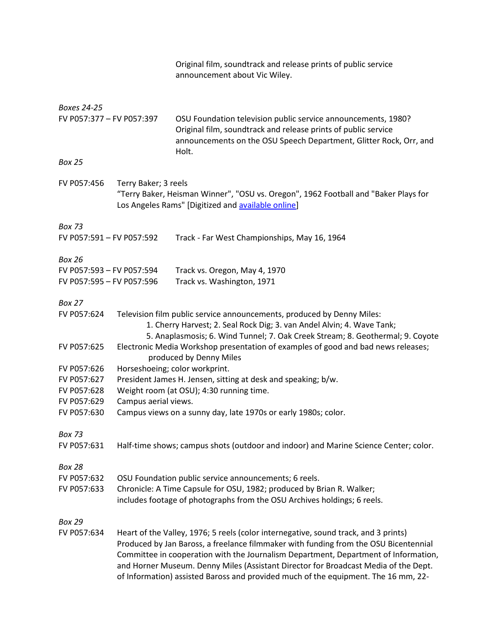|                           |                      | Original film, soundtrack and release prints of public service<br>announcement about Vic Wiley.                                                                                                                                                                                                                                                                                                                                                 |
|---------------------------|----------------------|-------------------------------------------------------------------------------------------------------------------------------------------------------------------------------------------------------------------------------------------------------------------------------------------------------------------------------------------------------------------------------------------------------------------------------------------------|
| Boxes 24-25               |                      |                                                                                                                                                                                                                                                                                                                                                                                                                                                 |
| FV P057:377 - FV P057:397 |                      | OSU Foundation television public service announcements, 1980?<br>Original film, soundtrack and release prints of public service<br>announcements on the OSU Speech Department, Glitter Rock, Orr, and<br>Holt.                                                                                                                                                                                                                                  |
| <b>Box 25</b>             |                      |                                                                                                                                                                                                                                                                                                                                                                                                                                                 |
| FV P057:456               | Terry Baker; 3 reels | "Terry Baker, Heisman Winner", "OSU vs. Oregon", 1962 Football and "Baker Plays for<br>Los Angeles Rams" [Digitized and available online]                                                                                                                                                                                                                                                                                                       |
| <b>Box 73</b>             |                      |                                                                                                                                                                                                                                                                                                                                                                                                                                                 |
| FV P057:591 - FV P057:592 |                      | Track - Far West Championships, May 16, 1964                                                                                                                                                                                                                                                                                                                                                                                                    |
| <b>Box 26</b>             |                      |                                                                                                                                                                                                                                                                                                                                                                                                                                                 |
| FV P057:593 - FV P057:594 |                      | Track vs. Oregon, May 4, 1970                                                                                                                                                                                                                                                                                                                                                                                                                   |
| FV P057:595 - FV P057:596 |                      | Track vs. Washington, 1971                                                                                                                                                                                                                                                                                                                                                                                                                      |
| Box 27                    |                      |                                                                                                                                                                                                                                                                                                                                                                                                                                                 |
| FV P057:624               |                      | Television film public service announcements, produced by Denny Miles:<br>1. Cherry Harvest; 2. Seal Rock Dig; 3. van Andel Alvin; 4. Wave Tank;<br>5. Anaplasmosis; 6. Wind Tunnel; 7. Oak Creek Stream; 8. Geothermal; 9. Coyote                                                                                                                                                                                                              |
| FV P057:625               |                      | Electronic Media Workshop presentation of examples of good and bad news releases;<br>produced by Denny Miles                                                                                                                                                                                                                                                                                                                                    |
| FV P057:626               |                      | Horseshoeing; color workprint.                                                                                                                                                                                                                                                                                                                                                                                                                  |
| FV P057:627               |                      | President James H. Jensen, sitting at desk and speaking; b/w.                                                                                                                                                                                                                                                                                                                                                                                   |
| FV P057:628               |                      | Weight room (at OSU); 4:30 running time.                                                                                                                                                                                                                                                                                                                                                                                                        |
| FV P057:629               | Campus aerial views. |                                                                                                                                                                                                                                                                                                                                                                                                                                                 |
| FV P057:630               |                      | Campus views on a sunny day, late 1970s or early 1980s; color.                                                                                                                                                                                                                                                                                                                                                                                  |
| <b>Box 73</b>             |                      |                                                                                                                                                                                                                                                                                                                                                                                                                                                 |
| FV P057:631               |                      | Half-time shows; campus shots (outdoor and indoor) and Marine Science Center; color.                                                                                                                                                                                                                                                                                                                                                            |
| <b>Box 28</b>             |                      |                                                                                                                                                                                                                                                                                                                                                                                                                                                 |
| FV P057:632               |                      | OSU Foundation public service announcements; 6 reels.                                                                                                                                                                                                                                                                                                                                                                                           |
| FV P057:633               |                      | Chronicle: A Time Capsule for OSU, 1982; produced by Brian R. Walker;                                                                                                                                                                                                                                                                                                                                                                           |
|                           |                      | includes footage of photographs from the OSU Archives holdings; 6 reels.                                                                                                                                                                                                                                                                                                                                                                        |
| <b>Box 29</b>             |                      |                                                                                                                                                                                                                                                                                                                                                                                                                                                 |
| FV P057:634               |                      | Heart of the Valley, 1976; 5 reels (color internegative, sound track, and 3 prints)<br>Produced by Jan Baross, a freelance filmmaker with funding from the OSU Bicentennial<br>Committee in cooperation with the Journalism Department, Department of Information,<br>and Horner Museum. Denny Miles (Assistant Director for Broadcast Media of the Dept.<br>of Information) assisted Baross and provided much of the equipment. The 16 mm, 22- |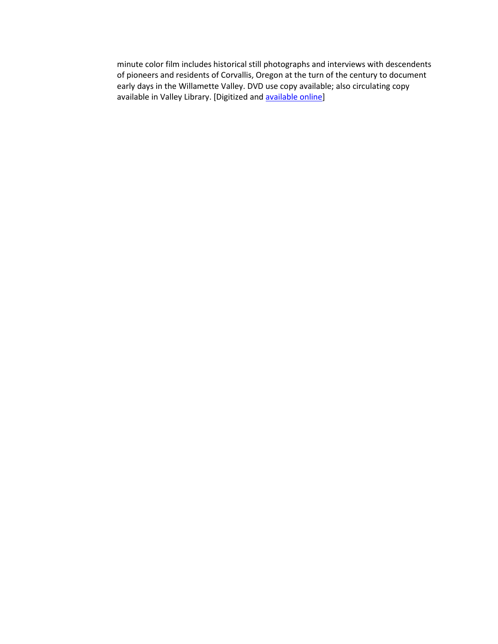minute color film includes historical still photographs and interviews with descendents of pioneers and residents of Corvallis, Oregon at the turn of the century to document early days in the Willamette Valley. DVD use copy available; also circulating copy available in Valley Library. [Digitized an[d available online\]](http://media.oregonstate.edu/media/t/0_8y1y9pbh/2947392)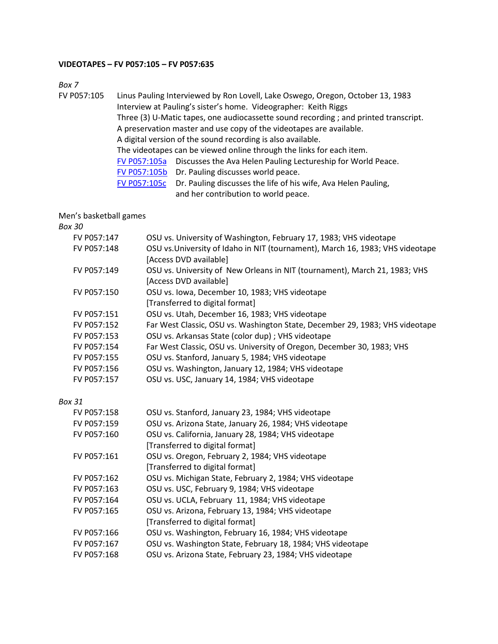#### **VIDEOTAPES – FV P057:105 – FV P057:635**

*Box 7*

FV P057:105 Linus Pauling Interviewed by Ron Lovell, Lake Oswego, Oregon, October 13, 1983 Interview at Pauling's sister's home. Videographer: Keith Riggs Three (3) U-Matic tapes, one audiocassette sound recording ; and printed transcript. A preservation master and use copy of the videotapes are available. A digital version of the sound recording is also available. The videotapes can be viewed online through the links for each item. [FV P057:105a](http://media.oregonstate.edu/media/t/0_thafy1xl/2947392) Discusses the Ava Helen Pauling Lectureship for World Peace. [FV P057:105b](http://media.oregonstate.edu/media/t/0_2qtm1pqe/2947392) Dr. Pauling discusses world peace. [FV P057:105c](http://media.oregonstate.edu/media/t/0_jl9t41ea/2947392) Dr. Pauling discusses the life of his wife, Ava Helen Pauling, and her contribution to world peace.

Men's basketball games

| OSU vs. University of Washington, February 17, 1983; VHS videotape             |
|--------------------------------------------------------------------------------|
| OSU vs. University of Idaho in NIT (tournament), March 16, 1983; VHS videotape |
| [Access DVD available]                                                         |
| OSU vs. University of New Orleans in NIT (tournament), March 21, 1983; VHS     |
| [Access DVD available]                                                         |
| OSU vs. Iowa, December 10, 1983; VHS videotape                                 |
| [Transferred to digital format]                                                |
| OSU vs. Utah, December 16, 1983; VHS videotape                                 |
| Far West Classic, OSU vs. Washington State, December 29, 1983; VHS videotape   |
| OSU vs. Arkansas State (color dup) ; VHS videotape                             |
| Far West Classic, OSU vs. University of Oregon, December 30, 1983; VHS         |
| OSU vs. Stanford, January 5, 1984; VHS videotape                               |
| OSU vs. Washington, January 12, 1984; VHS videotape                            |
| OSU vs. USC, January 14, 1984; VHS videotape                                   |
|                                                                                |
| OSU vs. Stanford, January 23, 1984; VHS videotape                              |
| OSU vs. Arizona State, January 26, 1984; VHS videotape                         |
| OSU vs. California, January 28, 1984; VHS videotape                            |
| [Transferred to digital format]                                                |
| OSU vs. Oregon, February 2, 1984; VHS videotape                                |
| [Transferred to digital format]                                                |
| OSU vs. Michigan State, February 2, 1984; VHS videotape                        |
| OSU vs. USC, February 9, 1984; VHS videotape                                   |
| OSU vs. UCLA, February 11, 1984; VHS videotape                                 |
| OSU vs. Arizona, February 13, 1984; VHS videotape                              |
| [Transferred to digital format]                                                |
| OSU vs. Washington, February 16, 1984; VHS videotape                           |
| OSU vs. Washington State, February 18, 1984; VHS videotape                     |
| OSU vs. Arizona State, February 23, 1984; VHS videotape                        |
|                                                                                |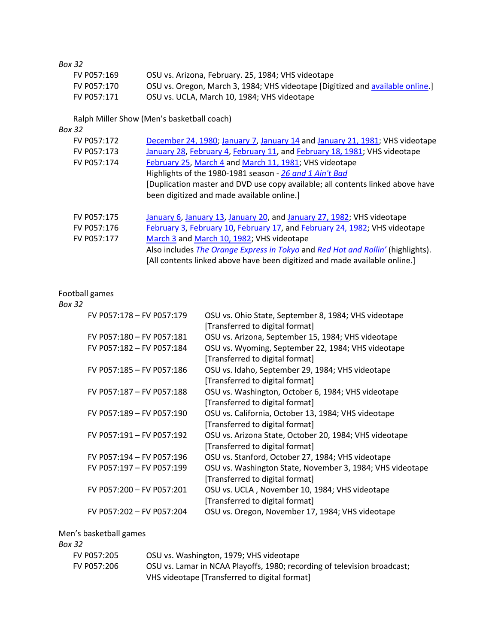# *Box 32*

| FV P057:169 | OSU vs. Arizona, February. 25, 1984; VHS videotape                             |
|-------------|--------------------------------------------------------------------------------|
| FV P057:170 | OSU vs. Oregon, March 3, 1984; VHS videotape [Digitized and available online.] |
| FV P057:171 | OSU vs. UCLA, March 10, 1984; VHS videotape                                    |

# Ralph Miller Show (Men's basketball coach)

### *Box 32*

| FV P057:172 | December 24, 1980; January 7, January 14 and January 21, 1981; VHS videotape    |
|-------------|---------------------------------------------------------------------------------|
| FV P057:173 | January 28, February 4, February 11, and February 18, 1981; VHS videotape       |
| FV P057:174 | February 25, March 4 and March 11, 1981; VHS videotape                          |
|             | Highlights of the 1980-1981 season - 26 and 1 Ain't Bad                         |
|             | [Duplication master and DVD use copy available; all contents linked above have  |
|             | been digitized and made available online.]                                      |
|             |                                                                                 |
| FV P057:175 | January 6, January 13, January 20, and January 27, 1982; VHS videotape          |
| FV P057:176 | February 3, February 10, February 17, and February 24, 1982; VHS videotape      |
| FV P057:177 | March 3 and March 10, 1982; VHS videotape                                       |
|             | Also includes The Orange Express in Tokyo and Red Hot and Rollin' (highlights). |
|             | [All contents linked above have been digitized and made available online.]      |

# Football games

### *Box 32*

| FV P057:178 - FV P057:179 | OSU vs. Ohio State, September 8, 1984; VHS videotape<br>[Transferred to digital format] |
|---------------------------|-----------------------------------------------------------------------------------------|
| FV P057:180 - FV P057:181 | OSU vs. Arizona, September 15, 1984; VHS videotape                                      |
| FV P057:182 - FV P057:184 | OSU vs. Wyoming, September 22, 1984; VHS videotape<br>[Transferred to digital format]   |
| FV P057:185 - FV P057:186 | OSU vs. Idaho, September 29, 1984; VHS videotape                                        |
|                           | [Transferred to digital format]                                                         |
| FV P057:187 - FV P057:188 | OSU vs. Washington, October 6, 1984; VHS videotape                                      |
|                           | [Transferred to digital format]                                                         |
| FV P057:189 - FV P057:190 | OSU vs. California, October 13, 1984; VHS videotape                                     |
|                           | [Transferred to digital format]                                                         |
| FV P057:191 - FV P057:192 | OSU vs. Arizona State, October 20, 1984; VHS videotape                                  |
|                           | [Transferred to digital format]                                                         |
| FV P057:194 - FV P057:196 | OSU vs. Stanford, October 27, 1984; VHS videotape                                       |
| FV P057:197 - FV P057:199 | OSU vs. Washington State, November 3, 1984; VHS videotape                               |
|                           | [Transferred to digital format]                                                         |
| FV P057:200 - FV P057:201 | OSU vs. UCLA, November 10, 1984; VHS videotape                                          |
|                           | [Transferred to digital format]                                                         |
| FV P057:202 - FV P057:204 | OSU vs. Oregon, November 17, 1984; VHS videotape                                        |
|                           |                                                                                         |

# Men's basketball games

| Box 32      |                                                                                                                           |
|-------------|---------------------------------------------------------------------------------------------------------------------------|
| FV P057:205 | OSU vs. Washington, 1979; VHS videotape                                                                                   |
| FV P057:206 | OSU vs. Lamar in NCAA Playoffs, 1980; recording of television broadcast;<br>VHS videotape [Transferred to digital format] |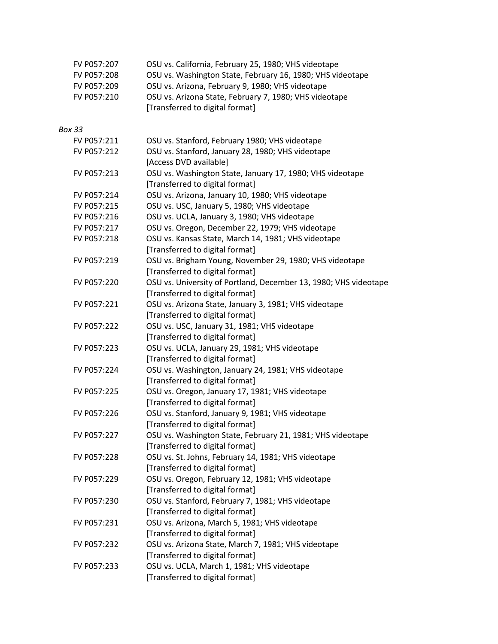| FV P057:207   | OSU vs. California, February 25, 1980; VHS videotape                                         |
|---------------|----------------------------------------------------------------------------------------------|
| FV P057:208   | OSU vs. Washington State, February 16, 1980; VHS videotape                                   |
| FV P057:209   | OSU vs. Arizona, February 9, 1980; VHS videotape                                             |
| FV P057:210   | OSU vs. Arizona State, February 7, 1980; VHS videotape                                       |
|               | [Transferred to digital format]                                                              |
| <b>Box 33</b> |                                                                                              |
| FV P057:211   | OSU vs. Stanford, February 1980; VHS videotape                                               |
| FV P057:212   | OSU vs. Stanford, January 28, 1980; VHS videotape<br>[Access DVD available]                  |
| FV P057:213   | OSU vs. Washington State, January 17, 1980; VHS videotape<br>[Transferred to digital format] |
| FV P057:214   | OSU vs. Arizona, January 10, 1980; VHS videotape                                             |
| FV P057:215   | OSU vs. USC, January 5, 1980; VHS videotape                                                  |
| FV P057:216   | OSU vs. UCLA, January 3, 1980; VHS videotape                                                 |
| FV P057:217   | OSU vs. Oregon, December 22, 1979; VHS videotape                                             |
| FV P057:218   | OSU vs. Kansas State, March 14, 1981; VHS videotape                                          |
|               | [Transferred to digital format]                                                              |
| FV P057:219   | OSU vs. Brigham Young, November 29, 1980; VHS videotape                                      |
|               | [Transferred to digital format]                                                              |
| FV P057:220   | OSU vs. University of Portland, December 13, 1980; VHS videotape                             |
|               | [Transferred to digital format]                                                              |
| FV P057:221   | OSU vs. Arizona State, January 3, 1981; VHS videotape                                        |
|               | [Transferred to digital format]                                                              |
| FV P057:222   | OSU vs. USC, January 31, 1981; VHS videotape                                                 |
|               | [Transferred to digital format]                                                              |
| FV P057:223   | OSU vs. UCLA, January 29, 1981; VHS videotape                                                |
|               | [Transferred to digital format]                                                              |
| FV P057:224   | OSU vs. Washington, January 24, 1981; VHS videotape                                          |
|               | [Transferred to digital format]                                                              |
| FV P057:225   | OSU vs. Oregon, January 17, 1981; VHS videotape                                              |
|               | [Transferred to digital format]                                                              |
| FV P057:226   | OSU vs. Stanford, January 9, 1981; VHS videotape                                             |
|               | [Transferred to digital format]                                                              |
| FV P057:227   | OSU vs. Washington State, February 21, 1981; VHS videotape                                   |
|               | [Transferred to digital format]                                                              |
| FV P057:228   | OSU vs. St. Johns, February 14, 1981; VHS videotape                                          |
|               | [Transferred to digital format]                                                              |
| FV P057:229   | OSU vs. Oregon, February 12, 1981; VHS videotape                                             |
| FV P057:230   | [Transferred to digital format]<br>OSU vs. Stanford, February 7, 1981; VHS videotape         |
|               | [Transferred to digital format]                                                              |
| FV P057:231   | OSU vs. Arizona, March 5, 1981; VHS videotape                                                |
|               | [Transferred to digital format]                                                              |
| FV P057:232   | OSU vs. Arizona State, March 7, 1981; VHS videotape                                          |
|               | [Transferred to digital format]                                                              |
| FV P057:233   | OSU vs. UCLA, March 1, 1981; VHS videotape                                                   |
|               | [Transferred to digital format]                                                              |
|               |                                                                                              |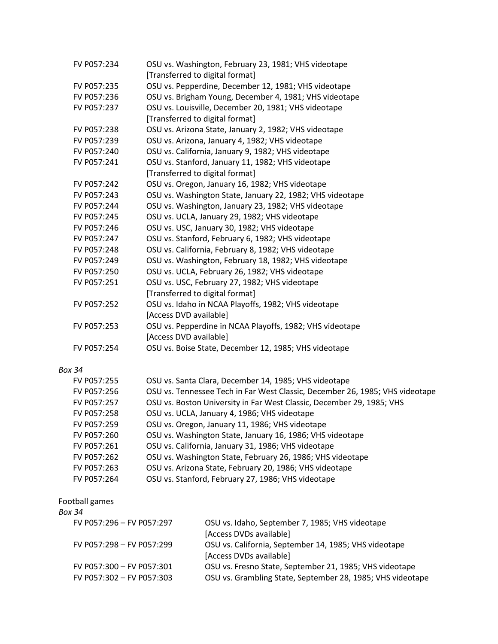| FV P057:234   | OSU vs. Washington, February 23, 1981; VHS videotape                         |
|---------------|------------------------------------------------------------------------------|
|               | [Transferred to digital format]                                              |
| FV P057:235   | OSU vs. Pepperdine, December 12, 1981; VHS videotape                         |
| FV P057:236   | OSU vs. Brigham Young, December 4, 1981; VHS videotape                       |
| FV P057:237   | OSU vs. Louisville, December 20, 1981; VHS videotape                         |
|               | [Transferred to digital format]                                              |
| FV P057:238   | OSU vs. Arizona State, January 2, 1982; VHS videotape                        |
| FV P057:239   | OSU vs. Arizona, January 4, 1982; VHS videotape                              |
| FV P057:240   | OSU vs. California, January 9, 1982; VHS videotape                           |
| FV P057:241   | OSU vs. Stanford, January 11, 1982; VHS videotape                            |
|               | [Transferred to digital format]                                              |
| FV P057:242   | OSU vs. Oregon, January 16, 1982; VHS videotape                              |
| FV P057:243   | OSU vs. Washington State, January 22, 1982; VHS videotape                    |
| FV P057:244   | OSU vs. Washington, January 23, 1982; VHS videotape                          |
| FV P057:245   | OSU vs. UCLA, January 29, 1982; VHS videotape                                |
| FV P057:246   | OSU vs. USC, January 30, 1982; VHS videotape                                 |
| FV P057:247   | OSU vs. Stanford, February 6, 1982; VHS videotape                            |
| FV P057:248   | OSU vs. California, February 8, 1982; VHS videotape                          |
| FV P057:249   | OSU vs. Washington, February 18, 1982; VHS videotape                         |
| FV P057:250   | OSU vs. UCLA, February 26, 1982; VHS videotape                               |
| FV P057:251   | OSU vs. USC, February 27, 1982; VHS videotape                                |
|               | [Transferred to digital format]                                              |
| FV P057:252   | OSU vs. Idaho in NCAA Playoffs, 1982; VHS videotape                          |
|               | [Access DVD available]                                                       |
| FV P057:253   | OSU vs. Pepperdine in NCAA Playoffs, 1982; VHS videotape                     |
|               | [Access DVD available]                                                       |
| FV P057:254   | OSU vs. Boise State, December 12, 1985; VHS videotape                        |
| <b>Box 34</b> |                                                                              |
| FV P057:255   | OSU vs. Santa Clara, December 14, 1985; VHS videotape                        |
| FV P057:256   | OSU vs. Tennessee Tech in Far West Classic, December 26, 1985; VHS videotape |
| FV P057:257   | OSU vs. Boston University in Far West Classic, December 29, 1985; VHS        |
|               |                                                                              |

| FV P057:258 | OSU vs. UCLA, January 4, 1986; VHS videotape              |
|-------------|-----------------------------------------------------------|
| FV P057:259 | OSU vs. Oregon, January 11, 1986; VHS videotape           |
| FV P057:260 | OSU vs. Washington State, January 16, 1986; VHS videotape |

- FV P057:261 OSU vs. California, January 31, 1986; VHS videotape
- FV P057:262 OSU vs. Washington State, February 26, 1986; VHS videotape
- FV P057:263 OSU vs. Arizona State, February 20, 1986; VHS videotape
- FV P057:264 OSU vs. Stanford, February 27, 1986; VHS videotape

# Football games

| OSU vs. Idaho, September 7, 1985; VHS videotape            |
|------------------------------------------------------------|
| [Access DVDs available]                                    |
| OSU vs. California, September 14, 1985; VHS videotape      |
| [Access DVDs available]                                    |
| OSU vs. Fresno State, September 21, 1985; VHS videotape    |
| OSU vs. Grambling State, September 28, 1985; VHS videotape |
|                                                            |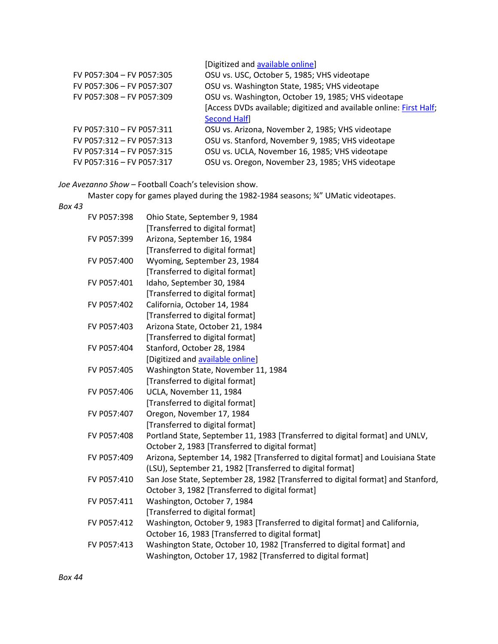| FV P057:304 - FV P057:305 | [Digitized and available online]<br>OSU vs. USC, October 5, 1985; VHS videotape |
|---------------------------|---------------------------------------------------------------------------------|
|                           |                                                                                 |
| FV P057:306 - FV P057:307 | OSU vs. Washington State, 1985; VHS videotape                                   |
| FV P057:308 - FV P057:309 | OSU vs. Washington, October 19, 1985; VHS videotape                             |
|                           | [Access DVDs available; digitized and available online: First Half;             |
|                           | <b>Second Half</b>                                                              |
| FV P057:310 - FV P057:311 | OSU vs. Arizona, November 2, 1985; VHS videotape                                |
| FV P057:312 - FV P057:313 | OSU vs. Stanford, November 9, 1985; VHS videotape                               |
| FV P057:314 - FV P057:315 | OSU vs. UCLA, November 16, 1985; VHS videotape                                  |
| FV P057:316 - FV P057:317 | OSU vs. Oregon, November 23, 1985; VHS videotape                                |

*Joe Avezanno Show* – Football Coach's television show.

Master copy for games played during the 1982-1984 seasons;  $\frac{3}{4}$ " UMatic videotapes.

| FV P057:398 | Ohio State, September 9, 1984                                                    |
|-------------|----------------------------------------------------------------------------------|
|             | [Transferred to digital format]                                                  |
| FV P057:399 | Arizona, September 16, 1984                                                      |
|             | [Transferred to digital format]                                                  |
| FV P057:400 | Wyoming, September 23, 1984                                                      |
|             | [Transferred to digital format]                                                  |
| FV P057:401 | Idaho, September 30, 1984                                                        |
|             | [Transferred to digital format]                                                  |
| FV P057:402 | California, October 14, 1984                                                     |
|             | [Transferred to digital format]                                                  |
| FV P057:403 | Arizona State, October 21, 1984                                                  |
|             | [Transferred to digital format]                                                  |
| FV P057:404 | Stanford, October 28, 1984                                                       |
|             | [Digitized and available online]                                                 |
| FV P057:405 | Washington State, November 11, 1984                                              |
|             | [Transferred to digital format]                                                  |
| FV P057:406 | UCLA, November 11, 1984                                                          |
|             | [Transferred to digital format]                                                  |
| FV P057:407 | Oregon, November 17, 1984                                                        |
|             | [Transferred to digital format]                                                  |
| FV P057:408 | Portland State, September 11, 1983 [Transferred to digital format] and UNLV,     |
|             | October 2, 1983 [Transferred to digital format]                                  |
| FV P057:409 | Arizona, September 14, 1982 [Transferred to digital format] and Louisiana State  |
|             | (LSU), September 21, 1982 [Transferred to digital format]                        |
| FV P057:410 | San Jose State, September 28, 1982 [Transferred to digital format] and Stanford, |
|             | October 3, 1982 [Transferred to digital format]                                  |
| FV P057:411 | Washington, October 7, 1984                                                      |
|             | [Transferred to digital format]                                                  |
| FV P057:412 | Washington, October 9, 1983 [Transferred to digital format] and California,      |
|             | October 16, 1983 [Transferred to digital format]                                 |
| FV P057:413 | Washington State, October 10, 1982 [Transferred to digital format] and           |
|             | Washington, October 17, 1982 [Transferred to digital format]                     |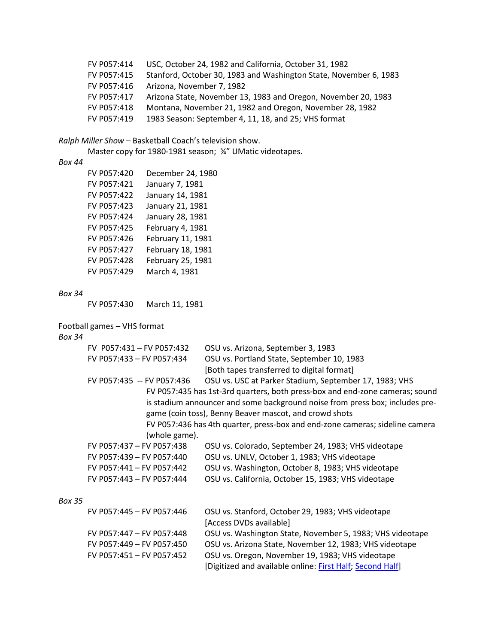| FV P057:414 | USC, October 24, 1982 and California, October 31, 1982            |
|-------------|-------------------------------------------------------------------|
| FV P057:415 | Stanford, October 30, 1983 and Washington State, November 6, 1983 |
| FV P057:416 | Arizona, November 7, 1982                                         |
| FV P057:417 | Arizona State, November 13, 1983 and Oregon, November 20, 1983    |
| FV P057:418 | Montana, November 21, 1982 and Oregon, November 28, 1982          |
| FV P057:419 | 1983 Season: September 4, 11, 18, and 25; VHS format              |

*Ralph Miller Show* – Basketball Coach's television show.

Master copy for 1980-1981 season; ¾" UMatic videotapes.

### *Box 44*

| FV P057:420 | December 24, 1980 |
|-------------|-------------------|
| FV P057:421 | January 7, 1981   |
| FV P057:422 | January 14, 1981  |
| FV P057:423 | January 21, 1981  |
| FV P057:424 | January 28, 1981  |
| FV P057:425 | February 4, 1981  |
| FV P057:426 | February 11, 1981 |
| FV P057:427 | February 18, 1981 |
| FV P057:428 | February 25, 1981 |
| FV P057:429 | March 4, 1981     |

#### *Box 34*

FV P057:430 March 11, 1981

### Football games – VHS format

# *Box 34*

|               | FV P057:431 - FV P057:432  | OSU vs. Arizona, September 3, 1983                                           |
|---------------|----------------------------|------------------------------------------------------------------------------|
|               | FV P057:433 - FV P057:434  | OSU vs. Portland State, September 10, 1983                                   |
|               |                            | [Both tapes transferred to digital format]                                   |
|               | FV P057:435 -- FV P057:436 | OSU vs. USC at Parker Stadium, September 17, 1983; VHS                       |
|               |                            | FV P057:435 has 1st-3rd quarters, both press-box and end-zone cameras; sound |
|               |                            | is stadium announcer and some background noise from press box; includes pre- |
|               |                            | game (coin toss), Benny Beaver mascot, and crowd shots                       |
|               |                            | FV P057:436 has 4th quarter, press-box and end-zone cameras; sideline camera |
|               | (whole game).              |                                                                              |
|               | FV P057:437 - FV P057:438  | OSU vs. Colorado, September 24, 1983; VHS videotape                          |
|               | FV P057:439 - FV P057:440  | OSU vs. UNLV, October 1, 1983; VHS videotape                                 |
|               | FV P057:441 - FV P057:442  | OSU vs. Washington, October 8, 1983; VHS videotape                           |
|               | FV P057:443 - FV P057:444  | OSU vs. California, October 15, 1983; VHS videotape                          |
| <b>Box 35</b> |                            |                                                                              |
|               | FV P057:445 - FV P057:446  | OSU vs. Stanford, October 29, 1983; VHS videotape                            |
|               |                            | [Access DVDs available]                                                      |
|               | FV P057:447 - FV P057:448  | OSU vs. Washington State, November 5, 1983; VHS videotape                    |

FV P057:449 – FV P057:450 OSU vs. Arizona State, November 12, 1983; VHS videotape FV P057:451 – FV P057:452 OSU vs. Oregon, November 19, 1983; VHS videotape

[Digitized and available online: [First Half;](http://media.oregonstate.edu/media/t/0_47rgqj99/2947392) [Second Half\]](http://media.oregonstate.edu/media/t/0_7yzbqzf8/2947392)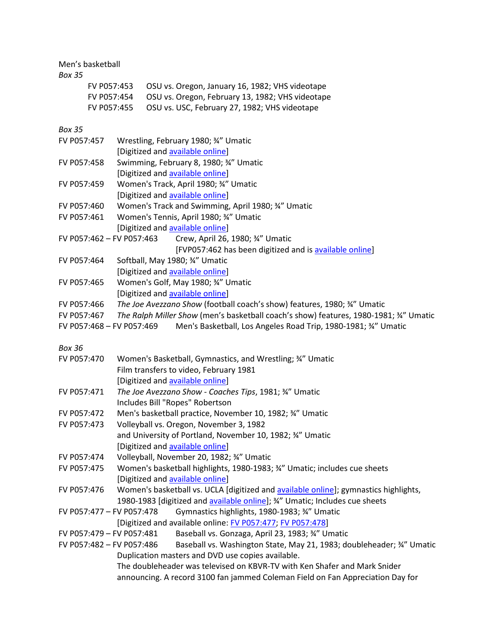# Men's basketball

# *Box 35*

| FV P057:453 | OSU vs. Oregon, January 16, 1982; VHS videotape  |
|-------------|--------------------------------------------------|
| FV P057:454 | OSU vs. Oregon, February 13, 1982; VHS videotape |
| FV P057:455 | OSU vs. USC, February 27, 1982; VHS videotape    |

| ככ גטם                    |                                                                                       |
|---------------------------|---------------------------------------------------------------------------------------|
| FV P057:457               | Wrestling, February 1980; 34" Umatic                                                  |
|                           | [Digitized and available online]                                                      |
| FV P057:458               | Swimming, February 8, 1980; 34" Umatic                                                |
|                           | [Digitized and available online]                                                      |
| FV P057:459               | Women's Track, April 1980; 34" Umatic                                                 |
|                           | [Digitized and available online]                                                      |
| FV P057:460               | Women's Track and Swimming, April 1980; 34" Umatic                                    |
| FV P057:461               | Women's Tennis, April 1980; 34" Umatic                                                |
|                           | [Digitized and available online]                                                      |
| FV P057:462 - FV P057:463 | Crew, April 26, 1980; 34" Umatic                                                      |
|                           | [FVP057:462 has been digitized and is available online]                               |
| FV P057:464               | Softball, May 1980; 34" Umatic                                                        |
|                           | [Digitized and available online]                                                      |
| FV P057:465               | Women's Golf, May 1980; 34" Umatic                                                    |
|                           | [Digitized and available online]                                                      |
| FV P057:466               | The Joe Avezzano Show (football coach's show) features, 1980; 34" Umatic              |
| FV P057:467               | The Ralph Miller Show (men's basketball coach's show) features, 1980-1981; 34" Umatic |
| FV P057:468 - FV P057:469 | Men's Basketball, Los Angeles Road Trip, 1980-1981; 34" Umatic                        |
|                           |                                                                                       |
| <b>Box 36</b>             |                                                                                       |
| FV P057:470               | Women's Basketball, Gymnastics, and Wrestling; 34" Umatic                             |
|                           | Film transfers to video, February 1981                                                |
|                           | [Digitized and available online]                                                      |
| FV P057:471               | The Joe Avezzano Show - Coaches Tips, 1981; 34" Umatic                                |
|                           | Includes Bill "Ropes" Robertson                                                       |
| FV P057:472               | Men's basketball practice, November 10, 1982; 34" Umatic                              |
| FV P057:473               | Volleyball vs. Oregon, November 3, 1982                                               |
|                           | and University of Portland, November 10, 1982; 34" Umatic                             |
|                           | [Digitized and available online]                                                      |
| FV P057:474               | Volleyball, November 20, 1982; 34" Umatic                                             |
| FV P057:475               | Women's basketball highlights, 1980-1983; 34" Umatic; includes cue sheets             |
|                           | [Digitized and available online]                                                      |
| FV P057:476               | Women's basketball vs. UCLA [digitized and available online]; gymnastics highlights,  |
|                           | 1980-1983 [digitized and available online]; 34" Umatic; Includes cue sheets           |
| FV P057:477 - FV P057:478 | Gymnastics highlights, 1980-1983; 34" Umatic                                          |
|                           | [Digitized and available online: FV P057:477; FV P057:478]                            |
| FV P057:479 - FV P057:481 | Baseball vs. Gonzaga, April 23, 1983; 34" Umatic                                      |
| FV P057:482 - FV P057:486 | Baseball vs. Washington State, May 21, 1983; doubleheader; 34" Umatic                 |
|                           | Duplication masters and DVD use copies available.                                     |
|                           | The doubleheader was televised on KBVR-TV with Ken Shafer and Mark Snider             |
|                           | announcing. A record 3100 fan jammed Coleman Field on Fan Appreciation Day for        |
|                           |                                                                                       |
|                           |                                                                                       |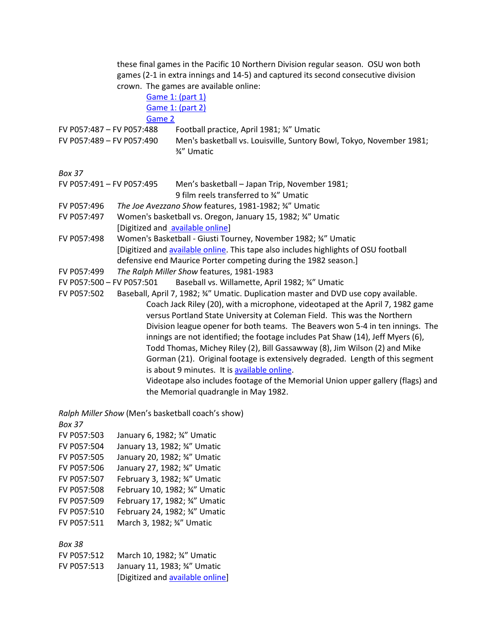these final games in the Pacific 10 Northern Division regular season. OSU won both games (2-1 in extra innings and 14-5) and captured its second consecutive division crown. The games are available online:

[Game 1: \(part 1\)](http://media.oregonstate.edu/media/t/0_vmrl84pt) [Game 1: \(part 2\)](http://media.oregonstate.edu/media/t/0_qa2z72s0) [Game 2](http://media.oregonstate.edu/media/t/0_2nn56it6)

FV P057:487 – FV P057:488 Football practice, April 1981; ¾" Umatic

FV P057:489 – FV P057:490 Men's basketball vs. Louisville, Suntory Bowl, Tokyo, November 1981; ¾" Umatic

*Box 37* 

| FV P057:491 - FV P057:495 | Men's basketball – Japan Trip, November 1981; |
|---------------------------|-----------------------------------------------|
|                           | 9 film reels transferred to 34" Umatic        |

- FV P057:496 *The Joe Avezzano Show* features, 1981-1982; ¾" Umatic
- FV P057:497 Women's basketball vs. Oregon, January 15, 1982; ¾" Umatic [Digitized and [available online\]](http://media.oregonstate.edu/media/t/0_a8wlgo2o/2947392)
- FV P057:498 Women's Basketball Giusti Tourney, November 1982; ¾" Umatic [Digitized and [available online.](https://media.oregonstate.edu/media/t/0_lcl4f9rq) This tape also includes highlights of OSU football defensive end Maurice Porter competing during the 1982 season.]
- FV P057:499 *The Ralph Miller Show* features, 1981-1983
- FV P057:500 FV P057:501 Baseball vs. Willamette, April 1982; ¾" Umatic

FV P057:502 Baseball, April 7, 1982; ¾" Umatic. Duplication master and DVD use copy available. Coach Jack Riley (20), with a microphone, videotaped at the April 7, 1982 game versus Portland State University at Coleman Field. This was the Northern Division league opener for both teams. The Beavers won 5-4 in ten innings. The innings are not identified; the footage includes Pat Shaw (14), Jeff Myers (6), Todd Thomas, Michey Riley (2), Bill Gassawway (8), Jim Wilson (2) and Mike Gorman (21). Original footage is extensively degraded. Length of this segment is about 9 minutes. It i[s available online.](http://media.oregonstate.edu/media/t/0_aogpojpq) Videotape also includes footage of the Memorial Union upper gallery (flags) and the Memorial quadrangle in May 1982.

*Ralph Miller Show* (Men's basketball coach's show) *Box 37* FV P057:503 January 6, 1982; ¾" Umatic FV P057:504 January 13, 1982; ¾" Umatic FV P057:505 January 20, 1982; ¾" Umatic FV P057:506 January 27, 1982; ¾" Umatic FV P057:507 February 3, 1982; ¾" Umatic FV P057:508 February 10, 1982; ¾" Umatic FV P057:509 February 17, 1982; ¾" Umatic FV P057:510 February 24, 1982; ¾" Umatic FV P057:511 March 3, 1982; ¾" Umatic

| FV P057:512 | March 10, 1982; 3/4" Umatic      |
|-------------|----------------------------------|
| FV P057:513 | January 11, 1983; 3/4" Umatic    |
|             | [Digitized and available online] |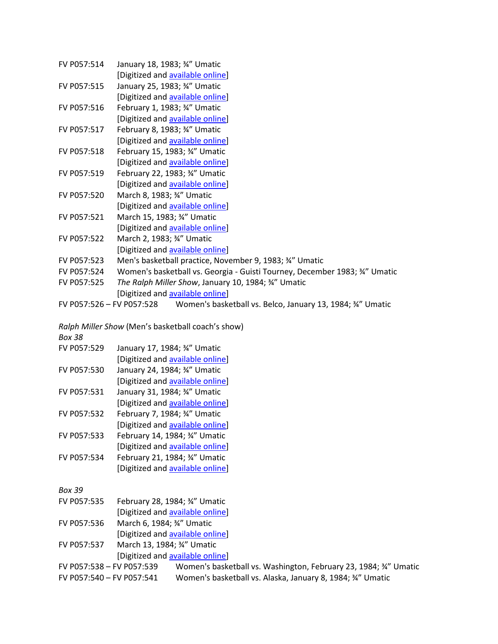| FV P057:514 | January 18, 1983; 3/4" Umatic                                                        |
|-------------|--------------------------------------------------------------------------------------|
|             | [Digitized and available online]                                                     |
| FV P057:515 | January 25, 1983; 3/4" Umatic                                                        |
|             | [Digitized and available online]                                                     |
| FV P057:516 | February 1, 1983; 34" Umatic                                                         |
|             | [Digitized and available online]                                                     |
| FV P057:517 | February 8, 1983; 34" Umatic                                                         |
|             | [Digitized and available online]                                                     |
| FV P057:518 | February 15, 1983; 34" Umatic                                                        |
|             | [Digitized and available online]                                                     |
| FV P057:519 | February 22, 1983; 34" Umatic                                                        |
|             | [Digitized and available online]                                                     |
| FV P057:520 | March 8, 1983; 3/4" Umatic                                                           |
|             | [Digitized and available online]                                                     |
| FV P057:521 | March 15, 1983; 3/4" Umatic                                                          |
|             | [Digitized and available online]                                                     |
| FV P057:522 | March 2, 1983; 3/4" Umatic                                                           |
|             | [Digitized and available online]                                                     |
| FV P057:523 | Men's basketball practice, November 9, 1983; 34" Umatic                              |
| FV P057:524 | Women's basketball vs. Georgia - Guisti Tourney, December 1983; 34" Umatic           |
| FV P057:525 | The Ralph Miller Show, January 10, 1984; 34" Umatic                                  |
|             | [Digitized and available online]                                                     |
|             | FV P057:526 - FV P057:528 Women's basketball vs. Belco, January 13, 1984; 34" Umatic |
|             |                                                                                      |
|             | Delah Millor Chaud Manda hookathall saashaa shau \                                   |

*Ralph Miller Show* (Men's basketball coach's show) *Box 38*

| FV P057:529 | January 17, 1984; 3/4" Umatic    |
|-------------|----------------------------------|
|             | [Digitized and available online] |
| FV P057:530 | January 24, 1984; 3/4" Umatic    |

- [Digitized and **available online]**
- FV P057:531 January 31, 1984; ¾" Umatic
- [Digitized and [available online\]](http://media.oregonstate.edu/media/t/0_xvx0zeal) FV P057:532 February 7, 1984; ¾" Umatic
- [Digitized and [available online\]](http://media.oregonstate.edu/media/t/0_cwa09ri7)
- FV P057:533 February 14, 1984; ¾" Umatic [Digitized and **available online]**
- FV P057:534 February 21, 1984; ¾" Umatic [Digitized and **available online]**

- FV P057:535 February 28, 1984; ¾" Umatic
- [Digitized and [available online\]](http://media.oregonstate.edu/media/t/0_59tigohd/2947392) FV P057:536 March 6, 1984; ¾" Umatic
- [Digitized and [available online\]](http://media.oregonstate.edu/media/t/0_qn538cfg/2947392)
- FV P057:537 March 13, 1984; ¾" Umatic [Digitized and [available online\]](http://media.oregonstate.edu/media/t/0_7s3y7kst/2947392)
- FV P057:538 FV P057:539 Women's basketball vs. Washington, February 23, 1984; ¾" Umatic FV P057:540 – FV P057:541 Women's basketball vs. Alaska, January 8, 1984; ¾" Umatic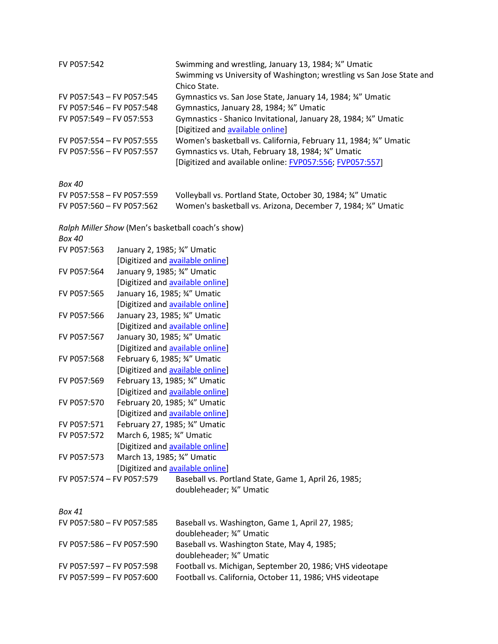| FV P057:542               | Swimming and wrestling, January 13, 1984; 34" Umatic                  |
|---------------------------|-----------------------------------------------------------------------|
|                           | Swimming vs University of Washington; wrestling vs San Jose State and |
|                           | Chico State.                                                          |
| FV P057:543 - FV P057:545 | Gymnastics vs. San Jose State, January 14, 1984; 34" Umatic           |
| FV P057:546 - FV P057:548 | Gymnastics, January 28, 1984; 34" Umatic                              |
| FV P057:549 - FV 057:553  | Gymnastics - Shanico Invitational, January 28, 1984; 34" Umatic       |
|                           | [Digitized and available online]                                      |
| FV P057:554 - FV P057:555 | Women's basketball vs. California, February 11, 1984; 34" Umatic      |
| FV P057:556 - FV P057:557 | Gymnastics vs. Utah, February 18, 1984; 34" Umatic                    |
|                           | [Digitized and available online: FVP057:556; FVP057:557]              |
|                           |                                                                       |

*Box 40*

| FV P057:558 - FV P057:559 | Volleyball vs. Portland State, October 30, 1984; 34" Umatic  |
|---------------------------|--------------------------------------------------------------|
| FV P057:560 - FV P057:562 | Women's basketball vs. Arizona, December 7, 1984; 34" Umatic |

| <b>Box 40</b>                              |                                | Ralph Miller Show (Men's basketball coach's show)        |
|--------------------------------------------|--------------------------------|----------------------------------------------------------|
| FV P057:563                                | January 2, 1985; 3/4" Umatic   |                                                          |
|                                            |                                | [Digitized and available online]                         |
| FV P057:564                                | January 9, 1985; 3/4" Umatic   |                                                          |
|                                            |                                | [Digitized and available online]                         |
| FV P057:565                                |                                |                                                          |
|                                            | January 16, 1985; 34" Umatic   |                                                          |
|                                            |                                | [Digitized and available online]                         |
| FV P057:566                                | January 23, 1985; 3/4" Umatic  |                                                          |
|                                            |                                | [Digitized and available online]                         |
| FV P057:567                                | January 30, 1985; 34" Umatic   |                                                          |
|                                            |                                | [Digitized and available online]                         |
| FV P057:568                                | February 6, 1985; 34" Umatic   |                                                          |
|                                            |                                | [Digitized and available online]                         |
| FV P057:569                                |                                | February 13, 1985; 34" Umatic                            |
|                                            |                                | [Digitized and available online]                         |
| FV P057:570                                | February 20, 1985; 3/4" Umatic |                                                          |
|                                            |                                | [Digitized and available online]                         |
| FV P057:571                                | February 27, 1985; 34" Umatic  |                                                          |
| FV P057:572<br>March 6, 1985; 3/4" Umatic  |                                |                                                          |
|                                            |                                | [Digitized and available online]                         |
| FV P057:573<br>March 13, 1985; 3/4" Umatic |                                |                                                          |
|                                            |                                | [Digitized and available online]                         |
| FV P057:574 - FV P057:579                  |                                | Baseball vs. Portland State, Game 1, April 26, 1985;     |
|                                            |                                | doubleheader; 3/4" Umatic                                |
|                                            |                                |                                                          |
| <b>Box 41</b>                              |                                |                                                          |
| FV P057:580 - FV P057:585                  |                                | Baseball vs. Washington, Game 1, April 27, 1985;         |
|                                            |                                | doubleheader; 34" Umatic                                 |
| FV P057:586 - FV P057:590                  |                                | Baseball vs. Washington State, May 4, 1985;              |
|                                            |                                | doubleheader; 3/4" Umatic                                |
| FV P057:597 - FV P057:598                  |                                | Football vs. Michigan, September 20, 1986; VHS videotape |

FV P057:599 – FV P057:600 Football vs. California, October 11, 1986; VHS videotape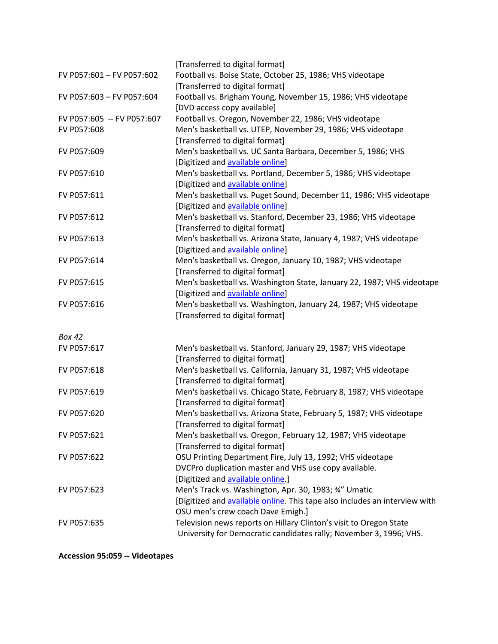|                            | [Transferred to digital format]                                            |
|----------------------------|----------------------------------------------------------------------------|
| FV P057:601 - FV P057:602  | Football vs. Boise State, October 25, 1986; VHS videotape                  |
|                            | [Transferred to digital format]                                            |
| FV P057:603 - FV P057:604  | Football vs. Brigham Young, November 15, 1986; VHS videotape               |
|                            | [DVD access copy available]                                                |
| FV P057:605 -- FV P057:607 | Football vs. Oregon, November 22, 1986; VHS videotape                      |
| FV P057:608                | Men's basketball vs. UTEP, November 29, 1986; VHS videotape                |
|                            | [Transferred to digital format]                                            |
| FV P057:609                | Men's basketball vs. UC Santa Barbara, December 5, 1986; VHS               |
|                            | [Digitized and available online]                                           |
| FV P057:610                | Men's basketball vs. Portland, December 5, 1986; VHS videotape             |
|                            | [Digitized and available online]                                           |
| FV P057:611                | Men's basketball vs. Puget Sound, December 11, 1986; VHS videotape         |
|                            | [Digitized and available online]                                           |
| FV P057:612                | Men's basketball vs. Stanford, December 23, 1986; VHS videotape            |
|                            | [Transferred to digital format]                                            |
| FV P057:613                | Men's basketball vs. Arizona State, January 4, 1987; VHS videotape         |
|                            | [Digitized and available online]                                           |
| FV P057:614                | Men's basketball vs. Oregon, January 10, 1987; VHS videotape               |
|                            | [Transferred to digital format]                                            |
| FV P057:615                | Men's basketball vs. Washington State, January 22, 1987; VHS videotape     |
|                            | [Digitized and available online]                                           |
| FV P057:616                | Men's basketball vs. Washington, January 24, 1987; VHS videotape           |
|                            | [Transferred to digital format]                                            |
|                            |                                                                            |
| Box 42                     |                                                                            |
| FV P057:617                | Men's basketball vs. Stanford, January 29, 1987; VHS videotape             |
|                            | [Transferred to digital format]                                            |
| FV P057:618                | Men's basketball vs. California, January 31, 1987; VHS videotape           |
|                            | [Transferred to digital format]                                            |
| FV P057:619                | Men's basketball vs. Chicago State, February 8, 1987; VHS videotape        |
|                            | [Transferred to digital format]                                            |
| FV P057:620                | Men's basketball vs. Arizona State, February 5, 1987; VHS videotape        |
|                            | [Transferred to digital format]                                            |
| FV P057:621                | Men's basketball vs. Oregon, February 12, 1987; VHS videotape              |
|                            | [Transferred to digital format]                                            |
| FV P057:622                | OSU Printing Department Fire, July 13, 1992; VHS videotape                 |
|                            | DVCPro duplication master and VHS use copy available.                      |
|                            | [Digitized and available online.]                                          |
| FV P057:623                | Men's Track vs. Washington, Apr. 30, 1983; 34" Umatic                      |
|                            | [Digitized and available online. This tape also includes an interview with |
|                            | OSU men's crew coach Dave Emigh.]                                          |
| FV P057:635                | Television news reports on Hillary Clinton's visit to Oregon State         |
|                            | University for Democratic candidates rally; November 3, 1996; VHS.         |
|                            |                                                                            |

**Accession 95:059 -- Videotapes**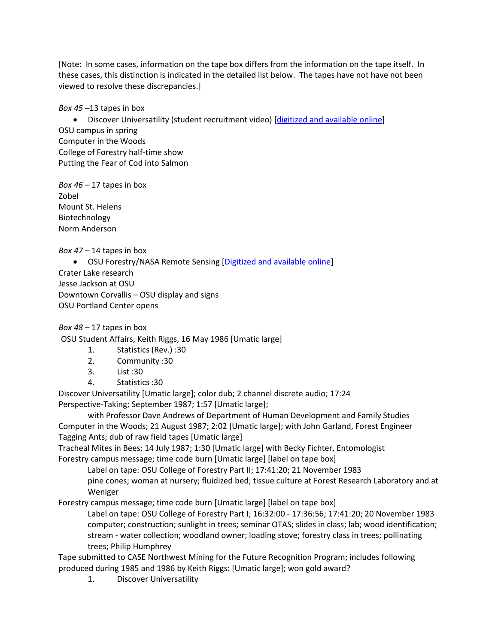[Note: In some cases, information on the tape box differs from the information on the tape itself. In these cases, this distinction is indicated in the detailed list below. The tapes have not have not been viewed to resolve these discrepancies.]

*Box 45 –*13 tapes in box

• Discover Universatility (student recruitment video) [\[digitized and available online\]](http://media.oregonstate.edu/media/t/0_djkkvjq9/2947392) OSU campus in spring Computer in the Woods College of Forestry half-time show Putting the Fear of Cod into Salmon

*Box 46* – 17 tapes in box Zobel Mount St. Helens Biotechnology Norm Anderson

*Box 47* – 14 tapes in box

• OSU Forestry/NASA Remote Sensing [\[Digitized and available online\]](http://media.oregonstate.edu/media/t/0_yilx250p) Crater Lake research Jesse Jackson at OSU Downtown Corvallis – OSU display and signs OSU Portland Center opens

*Box 48* – 17 tapes in box

OSU Student Affairs, Keith Riggs, 16 May 1986 [Umatic large]

- 1. Statistics (Rev.) :30
- 2. Community :30
- 3. List :30
- 4. Statistics :30

Discover Universatility [Umatic large]; color dub; 2 channel discrete audio; 17:24 Perspective-Taking; September 1987; 1:57 [Umatic large];

with Professor Dave Andrews of Department of Human Development and Family Studies Computer in the Woods; 21 August 1987; 2:02 [Umatic large]; with John Garland, Forest Engineer Tagging Ants; dub of raw field tapes [Umatic large]

Tracheal Mites in Bees; 14 July 1987; 1:30 [Umatic large] with Becky Fichter, Entomologist Forestry campus message; time code burn [Umatic large] [label on tape box]

Label on tape: OSU College of Forestry Part II; 17:41:20; 21 November 1983

pine cones; woman at nursery; fluidized bed; tissue culture at Forest Research Laboratory and at Weniger

Forestry campus message; time code burn [Umatic large] [label on tape box]

Label on tape: OSU College of Forestry Part I; 16:32:00 - 17:36:56; 17:41:20; 20 November 1983 computer; construction; sunlight in trees; seminar OTAS; slides in class; lab; wood identification; stream - water collection; woodland owner; loading stove; forestry class in trees; pollinating trees; Philip Humphrey

Tape submitted to CASE Northwest Mining for the Future Recognition Program; includes following produced during 1985 and 1986 by Keith Riggs: [Umatic large]; won gold award?

1. Discover Universatility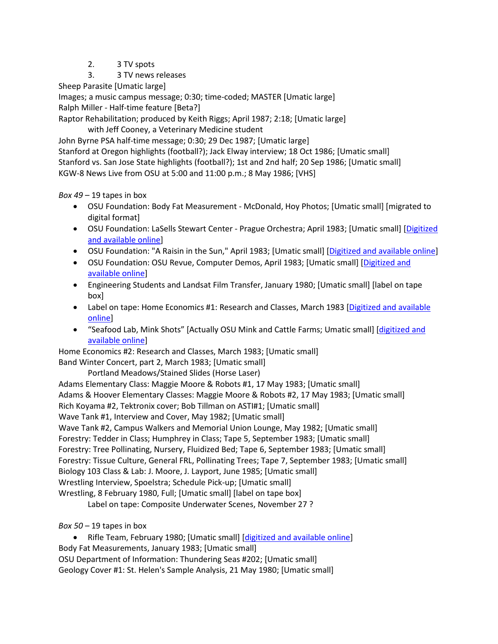- 2. 3 TV spots
- 3. 3 TV news releases

Sheep Parasite [Umatic large]

Images; a music campus message; 0:30; time-coded; MASTER [Umatic large] Ralph Miller - Half-time feature [Beta?]

Raptor Rehabilitation; produced by Keith Riggs; April 1987; 2:18; [Umatic large]

with Jeff Cooney, a Veterinary Medicine student

John Byrne PSA half-time message; 0:30; 29 Dec 1987; [Umatic large] Stanford at Oregon highlights (football?); Jack Elway interview; 18 Oct 1986; [Umatic small] Stanford vs. San Jose State highlights (football?); 1st and 2nd half; 20 Sep 1986; [Umatic small] KGW-8 News Live from OSU at 5:00 and 11:00 p.m.; 8 May 1986; [VHS]

*Box 49* – 19 tapes in box

- OSU Foundation: Body Fat Measurement McDonald, Hoy Photos; [Umatic small] [migrated to digital format]
- OSU Foundation: LaSells Stewart Center Prague Orchestra; April 1983; [Umatic small] [\[Digitized](https://media.oregonstate.edu/media/t/0_ycal1ncl)  [and available online\]](https://media.oregonstate.edu/media/t/0_ycal1ncl)
- OSU Foundation: "A Raisin in the Sun," April 1983; [Umatic small] [\[Digitized and available online\]](https://media.oregonstate.edu/media/t/0_ajmvx0fb)
- OSU Foundation: OSU Revue, Computer Demos, April 1983; [Umatic small] [Digitized and [available online\]](https://media.oregonstate.edu/media/t/0_7asgt111)
- Engineering Students and Landsat Film Transfer, January 1980; [Umatic small] [label on tape box]
- Label on tape: Home Economics #1: Research and Classes, March 1983 [Digitized and available [online\]](http://media.oregonstate.edu/media/t/0_d346t46w)
- "Seafood Lab, Mink Shots" [Actually OSU Mink and Cattle Farms; Umatic small] [digitized and [available online\]](http://media.oregonstate.edu/media/t/0_8ucb8opo)

Home Economics #2: Research and Classes, March 1983; [Umatic small] Band Winter Concert, part 2, March 1983; [Umatic small]

Portland Meadows/Stained Slides (Horse Laser)

Adams Elementary Class: Maggie Moore & Robots #1, 17 May 1983; [Umatic small] Adams & Hoover Elementary Classes: Maggie Moore & Robots #2, 17 May 1983; [Umatic small] Rich Koyama #2, Tektronix cover; Bob Tillman on ASTI#1; [Umatic small] Wave Tank #1, Interview and Cover, May 1982; [Umatic small] Wave Tank #2, Campus Walkers and Memorial Union Lounge, May 1982; [Umatic small] Forestry: Tedder in Class; Humphrey in Class; Tape 5, September 1983; [Umatic small] Forestry: Tree Pollinating, Nursery, Fluidized Bed; Tape 6, September 1983; [Umatic small] Forestry: Tissue Culture, General FRL, Pollinating Trees; Tape 7, September 1983; [Umatic small] Biology 103 Class & Lab: J. Moore, J. Layport, June 1985; [Umatic small] Wrestling Interview, Spoelstra; Schedule Pick-up; [Umatic small] Wrestling, 8 February 1980, Full; [Umatic small] [label on tape box]

Label on tape: Composite Underwater Scenes, November 27 ?

*Box 50* – 19 tapes in box

• Rifle Team, February 1980; [Umatic small] [\[digitized and available online\]](http://media.oregonstate.edu/media/t/0_kfw8n9ee/2947392) Body Fat Measurements, January 1983; [Umatic small] OSU Department of Information: Thundering Seas #202; [Umatic small] Geology Cover #1: St. Helen's Sample Analysis, 21 May 1980; [Umatic small]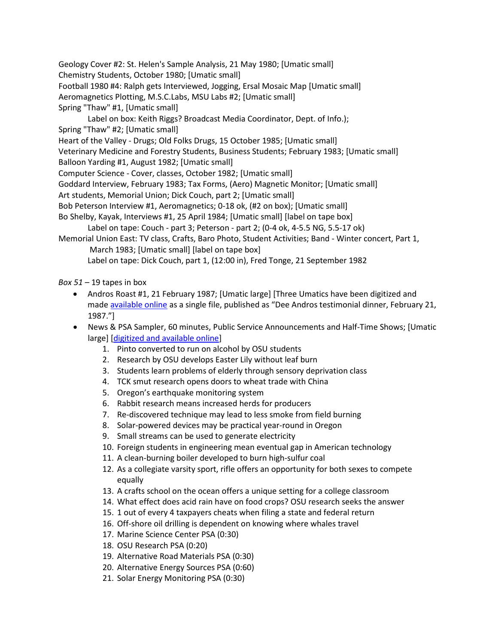Geology Cover #2: St. Helen's Sample Analysis, 21 May 1980; [Umatic small] Chemistry Students, October 1980; [Umatic small] Football 1980 #4: Ralph gets Interviewed, Jogging, Ersal Mosaic Map [Umatic small] Aeromagnetics Plotting, M.S.C.Labs, MSU Labs #2; [Umatic small] Spring "Thaw" #1, [Umatic small] Label on box: Keith Riggs? Broadcast Media Coordinator, Dept. of Info.); Spring "Thaw" #2; [Umatic small] Heart of the Valley - Drugs; Old Folks Drugs, 15 October 1985; [Umatic small] Veterinary Medicine and Forestry Students, Business Students; February 1983; [Umatic small] Balloon Yarding #1, August 1982; [Umatic small] Computer Science - Cover, classes, October 1982; [Umatic small] Goddard Interview, February 1983; Tax Forms, (Aero) Magnetic Monitor; [Umatic small] Art students, Memorial Union; Dick Couch, part 2; [Umatic small] Bob Peterson Interview #1, Aeromagnetics; 0-18 ok, (#2 on box); [Umatic small] Bo Shelby, Kayak, Interviews #1, 25 April 1984; [Umatic small] [label on tape box] Label on tape: Couch - part 3; Peterson - part 2; (0-4 ok, 4-5.5 NG, 5.5-17 ok) Memorial Union East: TV class, Crafts, Baro Photo, Student Activities; Band - Winter concert, Part 1, March 1983; [Umatic small] [label on tape box] Label on tape: Dick Couch, part 1, (12:00 in), Fred Tonge, 21 September 1982

*Box 51* – 19 tapes in box

- Andros Roast #1, 21 February 1987; [Umatic large] [Three Umatics have been digitized and made **available online** as a single file, published as "Dee Andros testimonial dinner, February 21, 1987."]
- News & PSA Sampler, 60 minutes, Public Service Announcements and Half-Time Shows; [Umatic large] [\[digitized and available online\]](https://media.oregonstate.edu/media/t/0_smnyv525)
	- 1. Pinto converted to run on alcohol by OSU students
	- 2. Research by OSU develops Easter Lily without leaf burn
	- 3. Students learn problems of elderly through sensory deprivation class
	- 4. TCK smut research opens doors to wheat trade with China
	- 5. Oregon's earthquake monitoring system
	- 6. Rabbit research means increased herds for producers
	- 7. Re-discovered technique may lead to less smoke from field burning
	- 8. Solar-powered devices may be practical year-round in Oregon
	- 9. Small streams can be used to generate electricity
	- 10. Foreign students in engineering mean eventual gap in American technology
	- 11. A clean-burning boiler developed to burn high-sulfur coal
	- 12. As a collegiate varsity sport, rifle offers an opportunity for both sexes to compete equally
	- 13. A crafts school on the ocean offers a unique setting for a college classroom
	- 14. What effect does acid rain have on food crops? OSU research seeks the answer
	- 15. 1 out of every 4 taxpayers cheats when filing a state and federal return
	- 16. Off-shore oil drilling is dependent on knowing where whales travel
	- 17. Marine Science Center PSA (0:30)
	- 18. OSU Research PSA (0:20)
	- 19. Alternative Road Materials PSA (0:30)
	- 20. Alternative Energy Sources PSA (0:60)
	- 21. Solar Energy Monitoring PSA (0:30)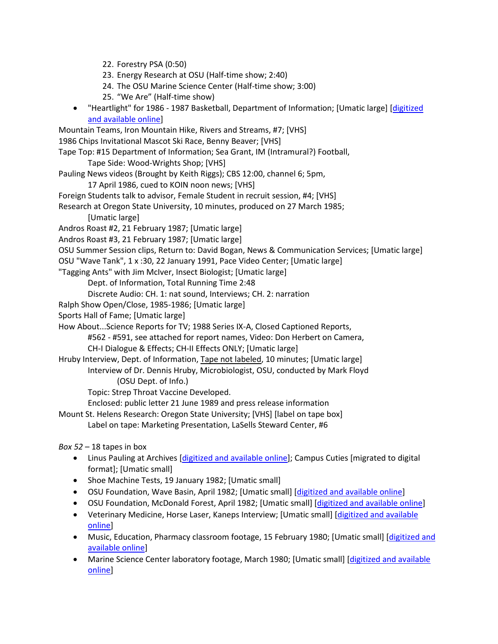- 22. Forestry PSA (0:50)
- 23. Energy Research at OSU (Half-time show; 2:40)
- 24. The OSU Marine Science Center (Half-time show; 3:00)
- 25. "We Are" (Half-time show)
- "Heartlight" for 1986 1987 Basketball, Department of Information; [Umatic large] [\[digitized](https://media.oregonstate.edu/media/t/0_0d00wf99)  [and available online\]](https://media.oregonstate.edu/media/t/0_0d00wf99)
- Mountain Teams, Iron Mountain Hike, Rivers and Streams, #7; [VHS] 1986 Chips Invitational Mascot Ski Race, Benny Beaver; [VHS] Tape Top: #15 Department of Information; Sea Grant, IM (Intramural?) Football,

Tape Side: Wood-Wrights Shop; [VHS]

- Pauling News videos (Brought by Keith Riggs); CBS 12:00, channel 6; 5pm,
	- 17 April 1986, cued to KOIN noon news; [VHS]
- Foreign Students talk to advisor, Female Student in recruit session, #4; [VHS]
- Research at Oregon State University, 10 minutes, produced on 27 March 1985;
	- [Umatic large]
- Andros Roast #2, 21 February 1987; [Umatic large]
- Andros Roast #3, 21 February 1987; [Umatic large]
- OSU Summer Session clips, Return to: David Bogan, News & Communication Services; [Umatic large]
- OSU "Wave Tank", 1 x :30, 22 January 1991, Pace Video Center; [Umatic large]
- "Tagging Ants" with Jim McIver, Insect Biologist; [Umatic large]
	- Dept. of Information, Total Running Time 2:48
	- Discrete Audio: CH. 1: nat sound, Interviews; CH. 2: narration
- Ralph Show Open/Close, 1985-1986; [Umatic large]
- Sports Hall of Fame; [Umatic large]
- How About...Science Reports for TV; 1988 Series IX-A, Closed Captioned Reports,
	- #562 #591, see attached for report names, Video: Don Herbert on Camera,
	- CH-I Dialogue & Effects; CH-II Effects ONLY; [Umatic large]
- Hruby Interview, Dept. of Information, Tape not labeled, 10 minutes; [Umatic large] Interview of Dr. Dennis Hruby, Microbiologist, OSU, conducted by Mark Floyd (OSU Dept. of Info.)
	- Topic: Strep Throat Vaccine Developed.
	- Enclosed: public letter 21 June 1989 and press release information
- Mount St. Helens Research: Oregon State University; [VHS] [label on tape box]
	- Label on tape: Marketing Presentation, LaSells Steward Center, #6
- *Box 52* 18 tapes in box
	- Linus Pauling at Archives [\[digitized and available online\]](https://media.oregonstate.edu/media/t/0_3penkty3/2947392); Campus Cuties [migrated to digital format]; [Umatic small]
	- Shoe Machine Tests, 19 January 1982; [Umatic small]
	- OSU Foundation, Wave Basin, April 1982; [Umatic small] [\[digitized and available online\]](https://media.oregonstate.edu/media/t/0_teeqhoqg)
	- OSU Foundation, McDonald Forest, April 1982; [Umatic small] [\[digitized and available online\]](https://media.oregonstate.edu/media/t/0_6o5szhh2)
	- Veterinary Medicine, Horse Laser, Kaneps Interview; [Umatic small] [digitized and available [online\]](https://media.oregonstate.edu/media/t/0_slcotgrl/2947392)
	- Music, Education, Pharmacy classroom footage, 15 February 1980; [Umatic small] [digitized and [available online\]](https://media.oregonstate.edu/media/t/0_o8394and/2947392)
	- Marine Science Center laboratory footage, March 1980; [Umatic small] [digitized and available [online\]](https://media.oregonstate.edu/media/t/0_ors5qexl/2947392)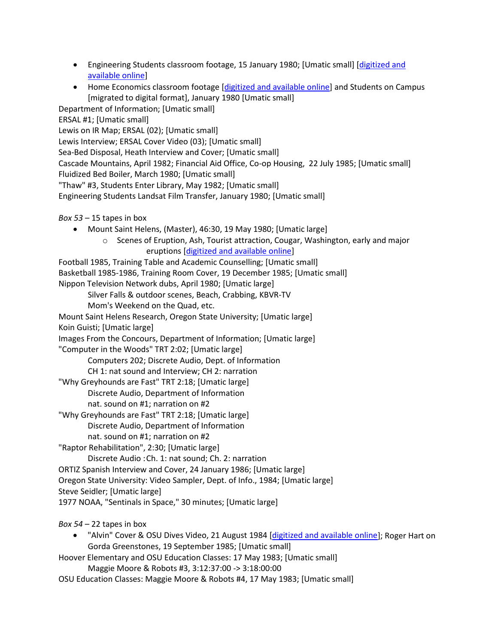- Engineering Students classroom footage, 15 January 1980; [Umatic small] [digitized and [available online\]](https://media.oregonstate.edu/media/t/0_wst2fcck/2947392)
- Home Economics classroom footage [\[digitized and available online\]](https://media.oregonstate.edu/media/t/0_1aq4mrfb/2947392) and Students on Campus [migrated to digital format], January 1980 [Umatic small]

Department of Information; [Umatic small]

ERSAL #1; [Umatic small]

Lewis on IR Map; ERSAL (02); [Umatic small]

Lewis Interview; ERSAL Cover Video (03); [Umatic small]

Sea-Bed Disposal, Heath Interview and Cover; [Umatic small]

Cascade Mountains, April 1982; Financial Aid Office, Co-op Housing, 22 July 1985; [Umatic small] Fluidized Bed Boiler, March 1980; [Umatic small]

"Thaw" #3, Students Enter Library, May 1982; [Umatic small]

Engineering Students Landsat Film Transfer, January 1980; [Umatic small]

```
Box 53 – 15 tapes in box
```
- Mount Saint Helens, (Master), 46:30, 19 May 1980; [Umatic large]
	- o Scenes of Eruption, Ash, Tourist attraction, Cougar, Washington, early and major eruptions [\[digitized and available online\]](http://media.oregonstate.edu/media/t/0_45vtbvcd/2947392)

Football 1985, Training Table and Academic Counselling; [Umatic small] Basketball 1985-1986, Training Room Cover, 19 December 1985; [Umatic small] Nippon Television Network dubs, April 1980; [Umatic large] Silver Falls & outdoor scenes, Beach, Crabbing, KBVR-TV Mom's Weekend on the Quad, etc. Mount Saint Helens Research, Oregon State University; [Umatic large] Koin Guisti; [Umatic large] Images From the Concours, Department of Information; [Umatic large] "Computer in the Woods" TRT 2:02; [Umatic large] Computers 202; Discrete Audio, Dept. of Information CH 1: nat sound and Interview; CH 2: narration "Why Greyhounds are Fast" TRT 2:18; [Umatic large] Discrete Audio, Department of Information

nat. sound on #1; narration on #2

"Why Greyhounds are Fast" TRT 2:18; [Umatic large]

Discrete Audio, Department of Information

nat. sound on #1; narration on #2

"Raptor Rehabilitation", 2:30; [Umatic large]

Discrete Audio :Ch. 1: nat sound; Ch. 2: narration

ORTIZ Spanish Interview and Cover, 24 January 1986; [Umatic large]

Oregon State University: Video Sampler, Dept. of Info., 1984; [Umatic large]

Steve Seidler; [Umatic large]

1977 NOAA, "Sentinals in Space," 30 minutes; [Umatic large]

*Box 54* – 22 tapes in box

- "Alvin" Cover & OSU Dives Video, 21 August 1984 [\[digitized and available online\]](http://media.oregonstate.edu/media/t/0_p5s1ld9l/2947392); Roger Hart on Gorda Greenstones, 19 September 1985; [Umatic small]
- Hoover Elementary and OSU Education Classes: 17 May 1983; [Umatic small]

Maggie Moore & Robots #3, 3:12:37:00 -> 3:18:00:00

OSU Education Classes: Maggie Moore & Robots #4, 17 May 1983; [Umatic small]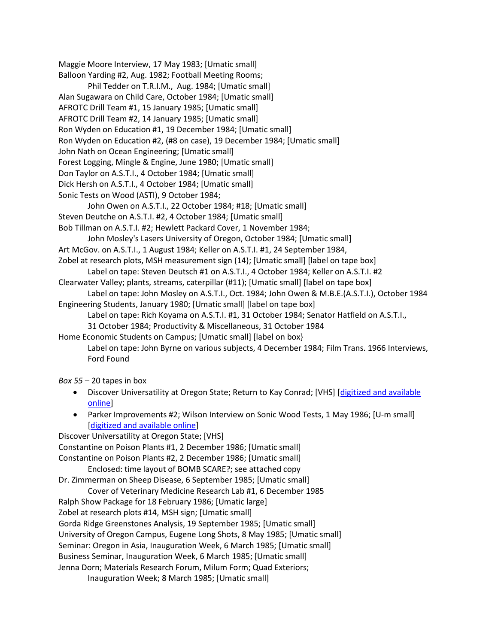```
Maggie Moore Interview, 17 May 1983; [Umatic small]
Balloon Yarding #2, Aug. 1982; Football Meeting Rooms;
       Phil Tedder on T.R.I.M., Aug. 1984; [Umatic small]
Alan Sugawara on Child Care, October 1984; [Umatic small]
AFROTC Drill Team #1, 15 January 1985; [Umatic small]
AFROTC Drill Team #2, 14 January 1985; [Umatic small]
Ron Wyden on Education #1, 19 December 1984; [Umatic small]
Ron Wyden on Education #2, (#8 on case), 19 December 1984; [Umatic small] 
John Nath on Ocean Engineering; [Umatic small]
Forest Logging, Mingle & Engine, June 1980; [Umatic small]
Don Taylor on A.S.T.I., 4 October 1984; [Umatic small]
Dick Hersh on A.S.T.I., 4 October 1984; [Umatic small]
Sonic Tests on Wood (ASTI), 9 October 1984;
       John Owen on A.S.T.I., 22 October 1984; #18; [Umatic small]
Steven Deutche on A.S.T.I. #2, 4 October 1984; [Umatic small]
Bob Tillman on A.S.T.I. #2; Hewlett Packard Cover, 1 November 1984;
       John Mosley's Lasers University of Oregon, October 1984; [Umatic small]
Art McGov. on A.S.T.I., 1 August 1984; Keller on A.S.T.I. #1, 24 September 1984, 
Zobel at research plots, MSH measurement sign (14); [Umatic small] [label on tape box]
        Label on tape: Steven Deutsch #1 on A.S.T.I., 4 October 1984; Keller on A.S.T.I. #2
Clearwater Valley; plants, streams, caterpillar (#11); [Umatic small] [label on tape box]
       Label on tape: John Mosley on A.S.T.I., Oct. 1984; John Owen & M.B.E.(A.S.T.I.), October 1984
Engineering Students, January 1980; [Umatic small] [label on tape box]
        Label on tape: Rich Koyama on A.S.T.I. #1, 31 October 1984; Senator Hatfield on A.S.T.I.,
        31 October 1984; Productivity & Miscellaneous, 31 October 1984
Home Economic Students on Campus; [Umatic small] [label on box}
        Label on tape: John Byrne on various subjects, 4 December 1984; Film Trans. 1966 Interviews,
       Ford Found
Box 55 – 20 tapes in box
   • Discover Universatility at Oregon State; Return to Kay Conrad; [VHS] [digitized and available 
       online]
    • Parker Improvements #2; Wilson Interview on Sonic Wood Tests, 1 May 1986; [U-m small]
        [digitized and available online]
Discover Universatility at Oregon State; [VHS]
Constantine on Poison Plants #1, 2 December 1986; [Umatic small]
Constantine on Poison Plants #2, 2 December 1986; [Umatic small]
        Enclosed: time layout of BOMB SCARE?; see attached copy
Dr. Zimmerman on Sheep Disease, 6 September 1985; [Umatic small]
       Cover of Veterinary Medicine Research Lab #1, 6 December 1985
Ralph Show Package for 18 February 1986; [Umatic large]
Zobel at research plots #14, MSH sign; [Umatic small]
Gorda Ridge Greenstones Analysis, 19 September 1985; [Umatic small]
```
University of Oregon Campus, Eugene Long Shots, 8 May 1985; [Umatic small]

Seminar: Oregon in Asia, Inauguration Week, 6 March 1985; [Umatic small]

Business Seminar, Inauguration Week, 6 March 1985; [Umatic small]

Jenna Dorn; Materials Research Forum, Milum Form; Quad Exteriors;

Inauguration Week; 8 March 1985; [Umatic small]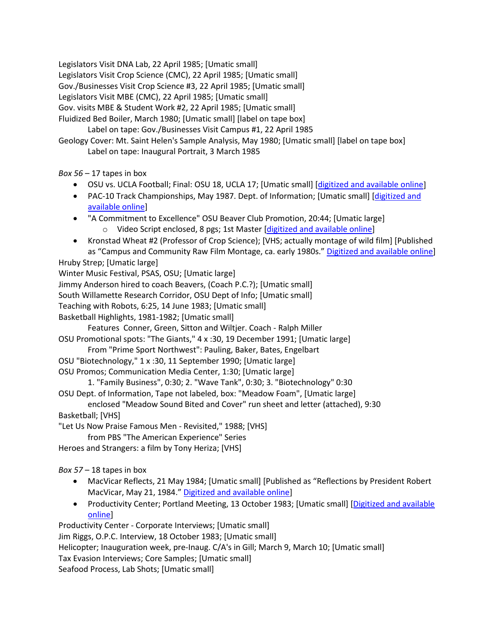Legislators Visit DNA Lab, 22 April 1985; [Umatic small] Legislators Visit Crop Science (CMC), 22 April 1985; [Umatic small] Gov./Businesses Visit Crop Science #3, 22 April 1985; [Umatic small] Legislators Visit MBE (CMC), 22 April 1985; [Umatic small] Gov. visits MBE & Student Work #2, 22 April 1985; [Umatic small] Fluidized Bed Boiler, March 1980; [Umatic small] [label on tape box] Label on tape: Gov./Businesses Visit Campus #1, 22 April 1985 Geology Cover: Mt. Saint Helen's Sample Analysis, May 1980; [Umatic small] [label on tape box] Label on tape: Inaugural Portrait, 3 March 1985

*Box 56* – 17 tapes in box

- OSU vs. UCLA Football; Final: OSU 18, UCLA 17; [Umatic small] [\[digitized and available online\]](https://media.oregonstate.edu/media/t/0_si2cv489)
- PAC-10 Track Championships, May 1987. Dept. of Information; [Umatic small] [\[digitized and](http://media.oregonstate.edu/media/t/0_ziu1hd25/2947392) [available online\]](http://media.oregonstate.edu/media/t/0_ziu1hd25/2947392)
- "A Commitment to Excellence" OSU Beaver Club Promotion, 20:44; [Umatic large] o Video Script enclosed, 8 pgs; 1st Master [\[digitized and available online\]](http://media.oregonstate.edu/media/t/0_k6rajqcz/2947392)
- Kronstad Wheat #2 (Professor of Crop Science); [VHS; actually montage of wild film] [Published as "Campus and Community Raw Film Montage, ca. early 1980s.[" Digitized and available online\]](http://media.oregonstate.edu/media/t/0_iu7efr7i) Hruby Strep; [Umatic large]

Winter Music Festival, PSAS, OSU; [Umatic large]

Jimmy Anderson hired to coach Beavers, (Coach P.C.?); [Umatic small]

South Willamette Research Corridor, OSU Dept of Info; [Umatic small]

Teaching with Robots, 6:25, 14 June 1983; [Umatic small]

Basketball Highlights, 1981-1982; [Umatic small]

Features Conner, Green, Sitton and Wiltjer. Coach - Ralph Miller

OSU Promotional spots: "The Giants," 4 x :30, 19 December 1991; [Umatic large]

From "Prime Sport Northwest": Pauling, Baker, Bates, Engelbart

- OSU "Biotechnology," 1 x :30, 11 September 1990; [Umatic large]
- OSU Promos; Communication Media Center, 1:30; [Umatic large]

1. "Family Business", 0:30; 2. "Wave Tank", 0:30; 3. "Biotechnology" 0:30

OSU Dept. of Information, Tape not labeled, box: "Meadow Foam", [Umatic large]

enclosed "Meadow Sound Bited and Cover" run sheet and letter (attached), 9:30 Basketball; [VHS]

"Let Us Now Praise Famous Men - Revisited," 1988; [VHS]

from PBS "The American Experience" Series

Heroes and Strangers: a film by Tony Heriza; [VHS]

*Box 57* – 18 tapes in box

- MacVicar Reflects, 21 May 1984; [Umatic small] [Published as "Reflections by President Robert MacVicar, May 21, 1984." Digitized [and available online\]](http://media.oregonstate.edu/media/t/0_2f96c2u9/2947392)
- Productivity Center; Portland Meeting, 13 October 1983; [Umatic small] [Digitized and available [online\]](https://media.oregonstate.edu/media/t/1_4lutaabd)

Productivity Center - Corporate Interviews; [Umatic small] Jim Riggs, O.P.C. Interview, 18 October 1983; [Umatic small] Helicopter; Inauguration week, pre-Inaug. C/A's in Gill; March 9, March 10; [Umatic small] Tax Evasion Interviews; Core Samples; [Umatic small] Seafood Process, Lab Shots; [Umatic small]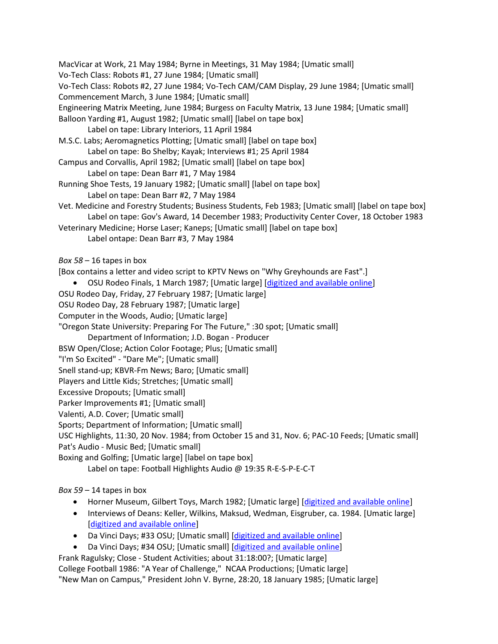MacVicar at Work, 21 May 1984; Byrne in Meetings, 31 May 1984; [Umatic small] Vo-Tech Class: Robots #1, 27 June 1984; [Umatic small] Vo-Tech Class: Robots #2, 27 June 1984; Vo-Tech CAM/CAM Display, 29 June 1984; [Umatic small] Commencement March, 3 June 1984; [Umatic small] Engineering Matrix Meeting, June 1984; Burgess on Faculty Matrix, 13 June 1984; [Umatic small] Balloon Yarding #1, August 1982; [Umatic small] [label on tape box] Label on tape: Library Interiors, 11 April 1984 M.S.C. Labs; Aeromagnetics Plotting; [Umatic small] [label on tape box] Label on tape: Bo Shelby; Kayak; Interviews #1; 25 April 1984 Campus and Corvallis, April 1982; [Umatic small] [label on tape box] Label on tape: Dean Barr #1, 7 May 1984 Running Shoe Tests, 19 January 1982; [Umatic small] [label on tape box] Label on tape: Dean Barr #2, 7 May 1984 Vet. Medicine and Forestry Students; Business Students, Feb 1983; [Umatic small] [label on tape box] Label on tape: Gov's Award, 14 December 1983; Productivity Center Cover, 18 October 1983 Veterinary Medicine; Horse Laser; Kaneps; [Umatic small] [label on tape box] Label ontape: Dean Barr #3, 7 May 1984 *Box 58* – 16 tapes in box [Box contains a letter and video script to KPTV News on "Why Greyhounds are Fast".] • OSU Rodeo Finals, 1 March 1987; [Umatic large] [\[digitized and available online\]](http://media.oregonstate.edu/media/t/0_c16meilc/2947392) OSU Rodeo Day, Friday, 27 February 1987; [Umatic large] OSU Rodeo Day, 28 February 1987; [Umatic large] Computer in the Woods, Audio; [Umatic large] "Oregon State University: Preparing For The Future," :30 spot; [Umatic small] Department of Information; J.D. Bogan - Producer BSW Open/Close; Action Color Footage; Plus; [Umatic small] "I'm So Excited" - "Dare Me"; [Umatic small] Snell stand-up; KBVR-Fm News; Baro; [Umatic small] Players and Little Kids; Stretches; [Umatic small] Excessive Dropouts; [Umatic small] Parker Improvements #1; [Umatic small] Valenti, A.D. Cover; [Umatic small] Sports; Department of Information; [Umatic small] USC Highlights, 11:30, 20 Nov. 1984; from October 15 and 31, Nov. 6; PAC-10 Feeds; [Umatic small] Pat's Audio - Music Bed; [Umatic small] Boxing and Golfing; [Umatic large] [label on tape box] Label on tape: Football Highlights Audio @ 19:35 R-E-S-P-E-C-T *Box 59* – 14 tapes in box

- Horner Museum, Gilbert Toys, March 1982; [Umatic large] [\[digitized and available online\]](http://media.oregonstate.edu/media/t/0_4hcnl615)
- Interviews of Deans: Keller, Wilkins, Maksud, Wedman, Eisgruber, ca. 1984. [Umatic large] [\[digitized and available online\]](http://media.oregonstate.edu/media/t/0_5ar3431z)
- Da Vinci Days; #33 OSU; [Umatic small] [\[digitized and available online\]](https://media.oregonstate.edu/media/t/0_us2bg481)
- Da Vinci Days; #34 OSU; [Umatic small] [\[digitized and available online\]](https://media.oregonstate.edu/media/t/0_qzf2dgz4)

Frank Ragulsky; Close - Student Activities; about 31:18:00?; [Umatic large] College Football 1986: "A Year of Challenge," NCAA Productions; [Umatic large] "New Man on Campus," President John V. Byrne, 28:20, 18 January 1985; [Umatic large]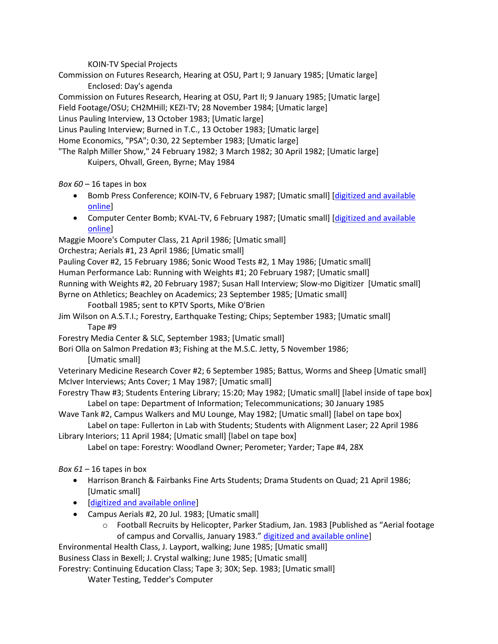KOIN-TV Special Projects

Commission on Futures Research, Hearing at OSU, Part I; 9 January 1985; [Umatic large] Enclosed: Day's agenda

Commission on Futures Research, Hearing at OSU, Part II; 9 January 1985; [Umatic large] Field Footage/OSU; CH2MHill; KEZI-TV; 28 November 1984; [Umatic large]

Linus Pauling Interview, 13 October 1983; [Umatic large]

Linus Pauling Interview; Burned in T.C., 13 October 1983; [Umatic large]

Home Economics, "PSA"; 0:30, 22 September 1983; [Umatic large]

"The Ralph Miller Show," 24 February 1982; 3 March 1982; 30 April 1982; [Umatic large] Kuipers, Ohvall, Green, Byrne; May 1984

*Box 60* – 16 tapes in box

- Bomb Press Conference; KOIN-TV, 6 February 1987; [Umatic small] [digitized and available [online\]](https://media.oregonstate.edu/media/t/0_2bnu021m/2947392)
- Computer Center Bomb; KVAL-TV, 6 February 1987; [Umatic small] [digitized and available [online\]](https://media.oregonstate.edu/media/t/0_2bnu021m/2947392)

Maggie Moore's Computer Class, 21 April 1986; [Umatic small]

Orchestra; Aerials #1, 23 April 1986; [Umatic small]

Pauling Cover #2, 15 February 1986; Sonic Wood Tests #2, 1 May 1986; [Umatic small]

Human Performance Lab: Running with Weights #1; 20 February 1987; [Umatic small]

Running with Weights #2, 20 February 1987; Susan Hall Interview; Slow-mo Digitizer [Umatic small] Byrne on Athletics; Beachley on Academics; 23 September 1985; [Umatic small]

- Football 1985; sent to KPTV Sports, Mike O'Brien
- Jim Wilson on A.S.T.I.; Forestry, Earthquake Testing; Chips; September 1983; [Umatic small] Tape #9

Forestry Media Center & SLC, September 1983; [Umatic small]

Bori Olla on Salmon Predation #3; Fishing at the M.S.C. Jetty, 5 November 1986; [Umatic small]

Veterinary Medicine Research Cover #2; 6 September 1985; Battus, Worms and Sheep [Umatic small] McIver Interviews; Ants Cover; 1 May 1987; [Umatic small]

- Forestry Thaw #3; Students Entering Library; 15:20; May 1982; [Umatic small] [label inside of tape box] Label on tape: Department of Information; Telecommunications; 30 January 1985
- Wave Tank #2, Campus Walkers and MU Lounge, May 1982; [Umatic small] [label on tape box] Label on tape: Fullerton in Lab with Students; Students with Alignment Laser; 22 April 1986
- Library Interiors; 11 April 1984; [Umatic small] [label on tape box] Label on tape: Forestry: Woodland Owner; Perometer; Yarder; Tape #4, 28X

- *Box 61* 16 tapes in box • Harrison Branch & Fairbanks Fine Arts Students; Drama Students on Quad; 21 April 1986;
	- [Umatic small] • [\[digitized and available online\]](http://media.oregonstate.edu/media/t/0_p45rvw72)
	- Campus Aerials #2, 20 Jul. 1983; [Umatic small]
		- o Football Recruits by Helicopter, Parker Stadium, Jan. 1983 [Published as "Aerial footage of campus and Corvallis, January 1983." [digitized and available online\]](http://media.oregonstate.edu/media/t/0_dbh0qhzc)

Environmental Health Class, J. Layport, walking; June 1985; [Umatic small] Business Class in Bexell; J. Crystal walking; June 1985; [Umatic small]

Forestry: Continuing Education Class; Tape 3; 30X; Sep. 1983; [Umatic small]

Water Testing, Tedder's Computer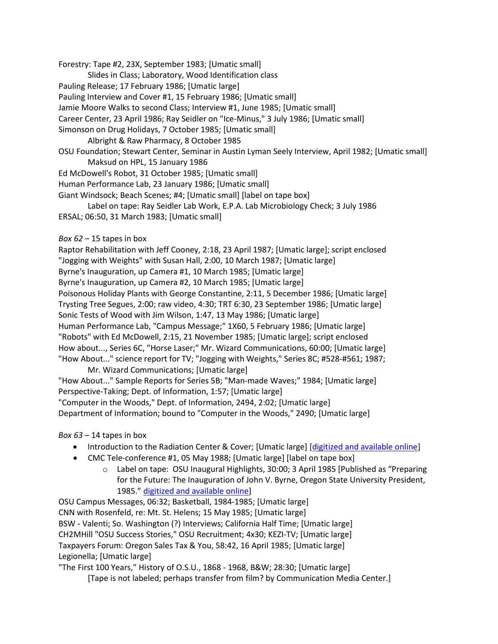Forestry: Tape #2, 23X, September 1983; [Umatic small]

Slides in Class; Laboratory, Wood Identification class

Pauling Release; 17 February 1986; [Umatic large]

Pauling Interview and Cover #1, 15 February 1986; [Umatic small]

Jamie Moore Walks to second Class; Interview #1, June 1985; [Umatic small]

Career Center, 23 April 1986; Ray Seidler on "Ice-Minus," 3 July 1986; [Umatic small]

Simonson on Drug Holidays, 7 October 1985; [Umatic small]

Albright & Raw Pharmacy, 8 October 1985

OSU Foundation; Stewart Center, Seminar in Austin Lyman Seely Interview, April 1982; [Umatic small] Maksud on HPL, 15 January 1986

Ed McDowell's Robot, 31 October 1985; [Umatic small]

Human Performance Lab, 23 January 1986; [Umatic small]

Giant Windsock; Beach Scenes; #4; [Umatic small] [label on tape box]

Label on tape: Ray Seidler Lab Work, E.P.A. Lab Microbiology Check; 3 July 1986 ERSAL; 06:50, 31 March 1983; [Umatic small]

*Box 62* – 15 tapes in box

Raptor Rehabilitation with Jeff Cooney, 2:18, 23 April 1987; [Umatic large]; script enclosed "Jogging with Weights" with Susan Hall, 2:00, 10 March 1987; [Umatic large] Byrne's Inauguration, up Camera #1, 10 March 1985; [Umatic large] Byrne's Inauguration, up Camera #2, 10 March 1985; [Umatic large] Poisonous Holiday Plants with George Constantine, 2:11, 5 December 1986; [Umatic large] Trysting Tree Segues, 2:00; raw video, 4:30; TRT 6:30, 23 September 1986; [Umatic large] Sonic Tests of Wood with Jim Wilson, 1:47, 13 May 1986; [Umatic large] Human Performance Lab, "Campus Message;" 1X60, 5 February 1986; [Umatic large] "Robots" with Ed McDowell, 2:15, 21 November 1985; [Umatic large]; script enclosed How about..., Series 6C, "Horse Laser;" Mr. Wizard Communications, 60:00; [Umatic large] "How About..." science report for TV; "Jogging with Weights," Series 8C; #528-#561; 1987;

Mr. Wizard Communications; [Umatic large]

"How About..." Sample Reports for Series 5B; "Man-made Waves;" 1984; [Umatic large] Perspective-Taking; Dept. of Information, 1:57; [Umatic large] "Computer in the Woods," Dept. of Information, 2494, 2:02; [Umatic large]

Department of Information; bound to "Computer in the Woods," 2490; [Umatic large]

*Box 63* – 14 tapes in box

- Introduction to the Radiation Center & Cover; [Umatic large] [\[digitized and available online\]](http://media.oregonstate.edu/media/t/0_1pz5jteg)
- CMC Tele-conference #1, 05 May 1988; [Umatic large] [label on tape box]
	- o Label on tape:OSU Inaugural Highlights, 30:00; 3 April 1985 [Published as "Preparing for the Future: The Inauguration of John V. Byrne, Oregon State University President, 1985." [digitized and available online\]](http://media.oregonstate.edu/media/t/0_po8vaflk)

OSU Campus Messages, 06:32; Basketball, 1984-1985; [Umatic large] CNN with Rosenfeld, re: Mt. St. Helens; 15 May 1985; [Umatic large] BSW - Valenti; So. Washington (?) Interviews; California Half Time; [Umatic large] CH2MHill "OSU Success Stories," OSU Recruitment; 4x30; KEZI-TV; [Umatic large] Taxpayers Forum: Oregon Sales Tax & You, 58:42, 16 April 1985; [Umatic large] Legionella; [Umatic large]

"The First 100 Years," History of O.S.U., 1868 - 1968, B&W; 28:30; [Umatic large]

[Tape is not labeled; perhaps transfer from film? by Communication Media Center.]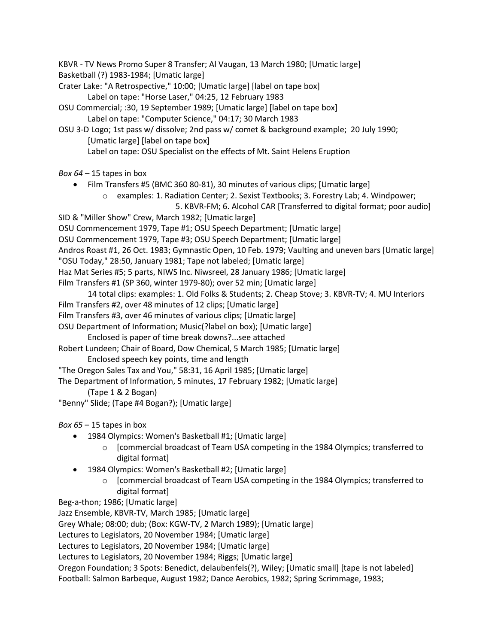KBVR - TV News Promo Super 8 Transfer; Al Vaugan, 13 March 1980; [Umatic large] Basketball (?) 1983-1984; [Umatic large]

- Crater Lake: "A Retrospective," 10:00; [Umatic large] [label on tape box] Label on tape: "Horse Laser," 04:25, 12 February 1983
- OSU Commercial; :30, 19 September 1989; [Umatic large] [label on tape box] Label on tape: "Computer Science," 04:17; 30 March 1983
- OSU 3-D Logo; 1st pass w/ dissolve; 2nd pass w/ comet & background example; 20 July 1990; [Umatic large] [label on tape box] Label on tape: OSU Specialist on the effects of Mt. Saint Helens Eruption
- *Box 64* 15 tapes in box
	- Film Transfers #5 (BMC 360 80-81), 30 minutes of various clips; [Umatic large]
		- o examples: 1. Radiation Center; 2. Sexist Textbooks; 3. Forestry Lab; 4. Windpower; 5. KBVR-FM; 6. Alcohol CAR [Transferred to digital format; poor audio]
- SID & "Miller Show" Crew, March 1982; [Umatic large]
- OSU Commencement 1979, Tape #1; OSU Speech Department; [Umatic large]
- OSU Commencement 1979, Tape #3; OSU Speech Department; [Umatic large]
- Andros Roast #1, 26 Oct. 1983; Gymnastic Open, 10 Feb. 1979; Vaulting and uneven bars [Umatic large]
- "OSU Today," 28:50, January 1981; Tape not labeled; [Umatic large]
- Haz Mat Series #5; 5 parts, NIWS Inc. Niwsreel, 28 January 1986; [Umatic large]
- Film Transfers #1 (SP 360, winter 1979-80); over 52 min; [Umatic large]
- 14 total clips: examples: 1. Old Folks & Students; 2. Cheap Stove; 3. KBVR-TV; 4. MU Interiors
- Film Transfers #2, over 48 minutes of 12 clips; [Umatic large]
- Film Transfers #3, over 46 minutes of various clips; [Umatic large]
- OSU Department of Information; Music(?label on box); [Umatic large]
	- Enclosed is paper of time break downs?...see attached
- Robert Lundeen; Chair of Board, Dow Chemical, 5 March 1985; [Umatic large] Enclosed speech key points, time and length
- "The Oregon Sales Tax and You," 58:31, 16 April 1985; [Umatic large]
- The Department of Information, 5 minutes, 17 February 1982; [Umatic large]
	- (Tape 1 & 2 Bogan)
- "Benny" Slide; (Tape #4 Bogan?); [Umatic large]
- *Box 65* 15 tapes in box
	- 1984 Olympics: Women's Basketball #1; [Umatic large]
		- o [commercial broadcast of Team USA competing in the 1984 Olympics; transferred to digital format]
	- 1984 Olympics: Women's Basketball #2; [Umatic large]
		- o [commercial broadcast of Team USA competing in the 1984 Olympics; transferred to digital format]
- Beg-a-thon; 1986; [Umatic large]

Jazz Ensemble, KBVR-TV, March 1985; [Umatic large]

Grey Whale; 08:00; dub; (Box: KGW-TV, 2 March 1989); [Umatic large]

Lectures to Legislators, 20 November 1984; [Umatic large]

Lectures to Legislators, 20 November 1984; [Umatic large]

Lectures to Legislators, 20 November 1984; Riggs; [Umatic large]

Oregon Foundation; 3 Spots: Benedict, delaubenfels(?), Wiley; [Umatic small] [tape is not labeled] Football: Salmon Barbeque, August 1982; Dance Aerobics, 1982; Spring Scrimmage, 1983;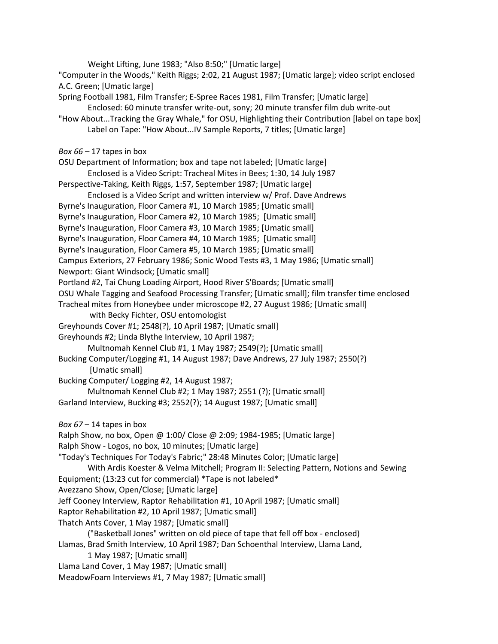Weight Lifting, June 1983; "Also 8:50;" [Umatic large] "Computer in the Woods," Keith Riggs; 2:02, 21 August 1987; [Umatic large]; video script enclosed A.C. Green; [Umatic large] Spring Football 1981, Film Transfer; E-Spree Races 1981, Film Transfer; [Umatic large] Enclosed: 60 minute transfer write-out, sony; 20 minute transfer film dub write-out "How About...Tracking the Gray Whale," for OSU, Highlighting their Contribution [label on tape box] Label on Tape: "How About...IV Sample Reports, 7 titles; [Umatic large] *Box 66* – 17 tapes in box OSU Department of Information; box and tape not labeled; [Umatic large] Enclosed is a Video Script: Tracheal Mites in Bees; 1:30, 14 July 1987 Perspective-Taking, Keith Riggs, 1:57, September 1987; [Umatic large] Enclosed is a Video Script and written interview w/ Prof. Dave Andrews Byrne's Inauguration, Floor Camera #1, 10 March 1985; [Umatic small] Byrne's Inauguration, Floor Camera #2, 10 March 1985; [Umatic small] Byrne's Inauguration, Floor Camera #3, 10 March 1985; [Umatic small] Byrne's Inauguration, Floor Camera #4, 10 March 1985; [Umatic small] Byrne's Inauguration, Floor Camera #5, 10 March 1985; [Umatic small] Campus Exteriors, 27 February 1986; Sonic Wood Tests #3, 1 May 1986; [Umatic small] Newport: Giant Windsock; [Umatic small] Portland #2, Tai Chung Loading Airport, Hood River S'Boards; [Umatic small] OSU Whale Tagging and Seafood Processing Transfer; [Umatic small]; film transfer time enclosed Tracheal mites from Honeybee under microscope #2, 27 August 1986; [Umatic small] with Becky Fichter, OSU entomologist Greyhounds Cover #1; 2548(?), 10 April 1987; [Umatic small] Greyhounds #2; Linda Blythe Interview, 10 April 1987; Multnomah Kennel Club #1, 1 May 1987; 2549(?); [Umatic small] Bucking Computer/Logging #1, 14 August 1987; Dave Andrews, 27 July 1987; 2550(?) [Umatic small] Bucking Computer/ Logging #2, 14 August 1987; Multnomah Kennel Club #2; 1 May 1987; 2551 (?); [Umatic small] Garland Interview, Bucking #3; 2552(?); 14 August 1987; [Umatic small] *Box 67* – 14 tapes in box Ralph Show, no box, Open @ 1:00/ Close @ 2:09; 1984-1985; [Umatic large] Ralph Show - Logos, no box, 10 minutes; [Umatic large] "Today's Techniques For Today's Fabric;" 28:48 Minutes Color; [Umatic large] With Ardis Koester & Velma Mitchell; Program II: Selecting Pattern, Notions and Sewing Equipment; (13:23 cut for commercial) \*Tape is not labeled\* Avezzano Show, Open/Close; [Umatic large] Jeff Cooney Interview, Raptor Rehabilitation #1, 10 April 1987; [Umatic small] Raptor Rehabilitation #2, 10 April 1987; [Umatic small] Thatch Ants Cover, 1 May 1987; [Umatic small] ("Basketball Jones" written on old piece of tape that fell off box - enclosed) Llamas, Brad Smith Interview, 10 April 1987; Dan Schoenthal Interview, Llama Land, 1 May 1987; [Umatic small] Llama Land Cover, 1 May 1987; [Umatic small] MeadowFoam Interviews #1, 7 May 1987; [Umatic small]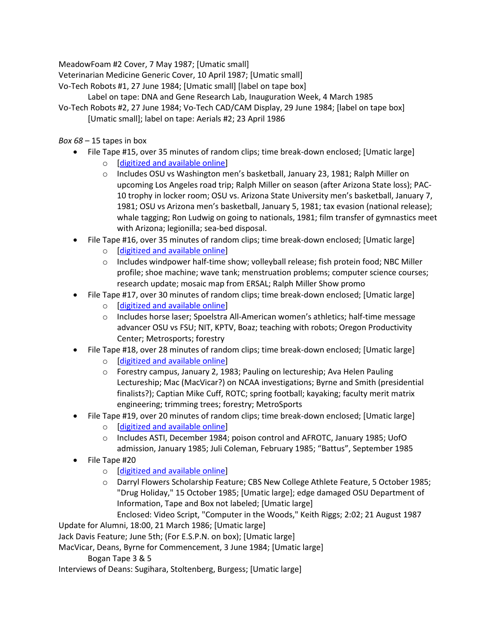MeadowFoam #2 Cover, 7 May 1987; [Umatic small]

Veterinarian Medicine Generic Cover, 10 April 1987; [Umatic small]

Vo-Tech Robots #1, 27 June 1984; [Umatic small] [label on tape box]

Label on tape: DNA and Gene Research Lab, Inauguration Week, 4 March 1985

Vo-Tech Robots #2, 27 June 1984; Vo-Tech CAD/CAM Display, 29 June 1984; [label on tape box] [Umatic small]; label on tape: Aerials #2; 23 April 1986

# *Box 68* – 15 tapes in box

- File Tape #15, over 35 minutes of random clips; time break-down enclosed; [Umatic large]
	- o [\[digitized and available online\]](https://media.oregonstate.edu/media/t/0_i4dnxz3f/2947392)
	- o Includes OSU vs Washington men's basketball, January 23, 1981; Ralph Miller on upcoming Los Angeles road trip; Ralph Miller on season (after Arizona State loss); PAC-10 trophy in locker room; OSU vs. Arizona State University men's basketball, January 7, 1981; OSU vs Arizona men's basketball, January 5, 1981; tax evasion (national release); whale tagging; Ron Ludwig on going to nationals, 1981; film transfer of gymnastics meet with Arizona; legionilla; sea-bed disposal.
- File Tape #16, over 35 minutes of random clips; time break-down enclosed; [Umatic large]
	- o [\[digitized and available online\]](https://media.oregonstate.edu/media/t/0_2kgokwyf/2947392)
	- o Includes windpower half-time show; volleyball release; fish protein food; NBC Miller profile; shoe machine; wave tank; menstruation problems; computer science courses; research update; mosaic map from ERSAL; Ralph Miller Show promo
- File Tape #17, over 30 minutes of random clips; time break-down enclosed; [Umatic large]
	- o [\[digitized and available online\]](https://media.oregonstate.edu/media/t/0_vhvtbz99/2947392)
	- o Includes horse laser; Spoelstra All-American women's athletics; half-time message advancer OSU vs FSU; NIT, KPTV, Boaz; teaching with robots; Oregon Productivity Center; Metrosports; forestry
- File Tape #18, over 28 minutes of random clips; time break-down enclosed; [Umatic large]
	- o [\[digitized and available online\]](https://media.oregonstate.edu/media/t/0_speonps0/2947392)
	- o Forestry campus, January 2, 1983; Pauling on lectureship; Ava Helen Pauling Lectureship; Mac (MacVicar?) on NCAA investigations; Byrne and Smith (presidential finalists?); Captian Mike Cuff, ROTC; spring football; kayaking; faculty merit matrix engineering; trimming trees; forestry; MetroSports
- File Tape #19, over 20 minutes of random clips; time break-down enclosed; [Umatic large]
	- o [\[digitized and available online\]](https://media.oregonstate.edu/media/t/0_apvufhun/2947392)
	- o Includes ASTI, December 1984; poison control and AFROTC, January 1985; UofO admission, January 1985; Juli Coleman, February 1985; "Battus", September 1985
- File Tape #20
	- o [\[digitized and available online\]](https://media.oregonstate.edu/media/t/0_apvufhun/2947392)
	- o Darryl Flowers Scholarship Feature; CBS New College Athlete Feature, 5 October 1985; "Drug Holiday," 15 October 1985; [Umatic large]; edge damaged OSU Department of Information, Tape and Box not labeled; [Umatic large]
		- Enclosed: Video Script, "Computer in the Woods," Keith Riggs; 2:02; 21 August 1987

Update for Alumni, 18:00, 21 March 1986; [Umatic large]

Jack Davis Feature; June 5th; (For E.S.P.N. on box); [Umatic large]

MacVicar, Deans, Byrne for Commencement, 3 June 1984; [Umatic large]

Bogan Tape 3 & 5

Interviews of Deans: Sugihara, Stoltenberg, Burgess; [Umatic large]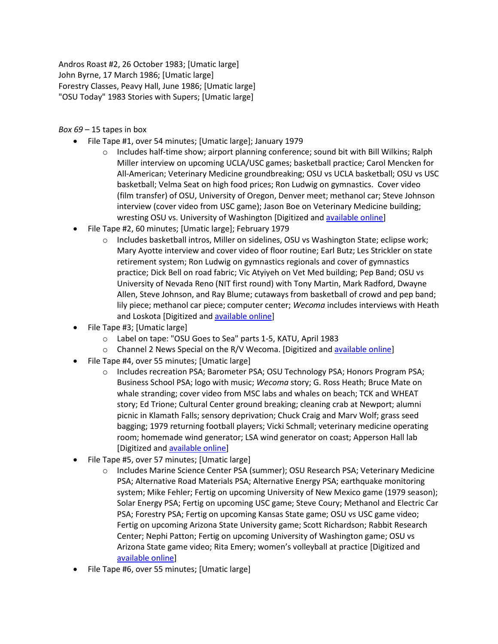Andros Roast #2, 26 October 1983; [Umatic large] John Byrne, 17 March 1986; [Umatic large] Forestry Classes, Peavy Hall, June 1986; [Umatic large] "OSU Today" 1983 Stories with Supers; [Umatic large]

*Box 69* – 15 tapes in box

- File Tape #1, over 54 minutes; [Umatic large]; January 1979
	- $\circ$  Includes half-time show; airport planning conference; sound bit with Bill Wilkins; Ralph Miller interview on upcoming UCLA/USC games; basketball practice; Carol Mencken for All-American; Veterinary Medicine groundbreaking; OSU vs UCLA basketball; OSU vs USC basketball; Velma Seat on high food prices; Ron Ludwig on gymnastics. Cover video (film transfer) of OSU, University of Oregon, Denver meet; methanol car; Steve Johnson interview (cover video from USC game); Jason Boe on Veterinary Medicine building; wresting OSU vs. University of Washington [Digitized and [available online\]](https://media.oregonstate.edu/media/t/0_6ng6itq7)
- File Tape #2, 60 minutes; [Umatic large]; February 1979
	- o Includes basketball intros, Miller on sidelines, OSU vs Washington State; eclipse work; Mary Ayotte interview and cover video of floor routine; Earl Butz; Les Strickler on state retirement system; Ron Ludwig on gymnastics regionals and cover of gymnastics practice; Dick Bell on road fabric; Vic Atyiyeh on Vet Med building; Pep Band; OSU vs University of Nevada Reno (NIT first round) with Tony Martin, Mark Radford, Dwayne Allen, Steve Johnson, and Ray Blume; cutaways from basketball of crowd and pep band; lily piece; methanol car piece; computer center; *Wecoma* includes interviews with Heath and Loskota [Digitized and [available online\]](https://media.oregonstate.edu/media/t/0_u7k7oocf)
- File Tape #3; [Umatic large]
	- o Label on tape: "OSU Goes to Sea" parts 1-5, KATU, April 1983
	- $\circ$  Channel 2 News Special on the R/V Wecoma. [Digitized and [available online\]](https://media.oregonstate.edu/media/t/0_l7de4i7w)
- File Tape #4, over 55 minutes; [Umatic large]
	- o Includes recreation PSA; Barometer PSA; OSU Technology PSA; Honors Program PSA; Business School PSA; logo with music; *Wecoma* story; G. Ross Heath; Bruce Mate on whale stranding; cover video from MSC labs and whales on beach; TCK and WHEAT story; Ed Trione; Cultural Center ground breaking; cleaning crab at Newport; alumni picnic in Klamath Falls; sensory deprivation; Chuck Craig and Marv Wolf; grass seed bagging; 1979 returning football players; Vicki Schmall; veterinary medicine operating room; homemade wind generator; LSA wind generator on coast; Apperson Hall lab [Digitized and [available online\]](https://media.oregonstate.edu/media/t/0_i4n1a419)
- File Tape #5, over 57 minutes; [Umatic large]
	- o Includes Marine Science Center PSA (summer); OSU Research PSA; Veterinary Medicine PSA; Alternative Road Materials PSA; Alternative Energy PSA; earthquake monitoring system; Mike Fehler; Fertig on upcoming University of New Mexico game (1979 season); Solar Energy PSA; Fertig on upcoming USC game; Steve Coury; Methanol and Electric Car PSA; Forestry PSA; Fertig on upcoming Kansas State game; OSU vs USC game video; Fertig on upcoming Arizona State University game; Scott Richardson; Rabbit Research Center; Nephi Patton; Fertig on upcoming University of Washington game; OSU vs Arizona State game video; Rita Emery; women's volleyball at practice [Digitized and [available online\]](https://media.oregonstate.edu/media/t/0_pe7zuiwy)
- File Tape #6, over 55 minutes; [Umatic large]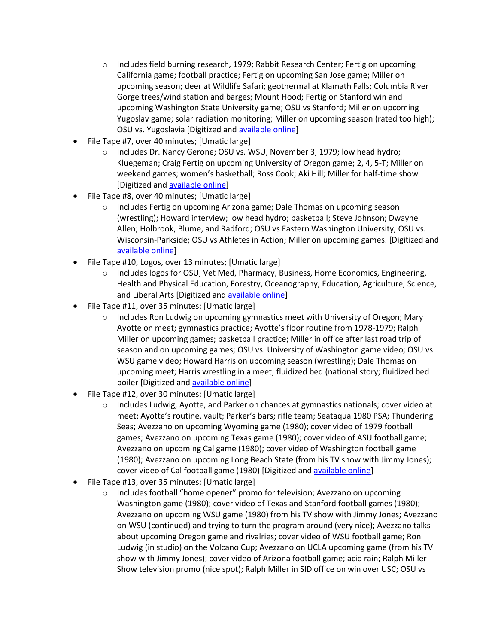- o Includes field burning research, 1979; Rabbit Research Center; Fertig on upcoming California game; football practice; Fertig on upcoming San Jose game; Miller on upcoming season; deer at Wildlife Safari; geothermal at Klamath Falls; Columbia River Gorge trees/wind station and barges; Mount Hood; Fertig on Stanford win and upcoming Washington State University game; OSU vs Stanford; Miller on upcoming Yugoslav game; solar radiation monitoring; Miller on upcoming season (rated too high); OSU vs. Yugoslavia [Digitized and [available online\]](https://media.oregonstate.edu/media/t/0_t8336zfc)
- File Tape #7, over 40 minutes; [Umatic large]
	- o Includes Dr. Nancy Gerone; OSU vs. WSU, November 3, 1979; low head hydro; Kluegeman; Craig Fertig on upcoming University of Oregon game; 2, 4, 5-T; Miller on weekend games; women's basketball; Ross Cook; Aki Hill; Miller for half-time show [Digitized and [available online\]](https://media.oregonstate.edu/media/t/0_l4gtzxkq)
- File Tape #8, over 40 minutes; [Umatic large]
	- o Includes Fertig on upcoming Arizona game; Dale Thomas on upcoming season (wrestling); Howard interview; low head hydro; basketball; Steve Johnson; Dwayne Allen; Holbrook, Blume, and Radford; OSU vs Eastern Washington University; OSU vs. Wisconsin-Parkside; OSU vs Athletes in Action; Miller on upcoming games. [Digitized and [available online\]](https://media.oregonstate.edu/media/t/0_lbqg9kzl)
- File Tape #10, Logos, over 13 minutes; [Umatic large]
	- o Includes logos for OSU, Vet Med, Pharmacy, Business, Home Economics, Engineering, Health and Physical Education, Forestry, Oceanography, Education, Agriculture, Science, and Liberal Arts [Digitized and **available online]**
- File Tape #11, over 35 minutes; [Umatic large]
	- $\circ$  Includes Ron Ludwig on upcoming gymnastics meet with University of Oregon; Mary Ayotte on meet; gymnastics practice; Ayotte's floor routine from 1978-1979; Ralph Miller on upcoming games; basketball practice; Miller in office after last road trip of season and on upcoming games; OSU vs. University of Washington game video; OSU vs WSU game video; Howard Harris on upcoming season (wrestling); Dale Thomas on upcoming meet; Harris wrestling in a meet; fluidized bed (national story; fluidized bed boiler [Digitized and **available online**]
- File Tape #12, over 30 minutes; [Umatic large]
	- o Includes Ludwig, Ayotte, and Parker on chances at gymnastics nationals; cover video at meet; Ayotte's routine, vault; Parker's bars; rifle team; Seataqua 1980 PSA; Thundering Seas; Avezzano on upcoming Wyoming game (1980); cover video of 1979 football games; Avezzano on upcoming Texas game (1980); cover video of ASU football game; Avezzano on upcoming Cal game (1980); cover video of Washington football game (1980); Avezzano on upcoming Long Beach State (from his TV show with Jimmy Jones); cover video of Cal football game (1980) [Digitized and [available online\]](https://media.oregonstate.edu/media/t/0_r7h6idli)
- File Tape #13, over 35 minutes; [Umatic large]
	- $\circ$  Includes football "home opener" promo for television; Avezzano on upcoming Washington game (1980); cover video of Texas and Stanford football games (1980); Avezzano on upcoming WSU game (1980) from his TV show with Jimmy Jones; Avezzano on WSU (continued) and trying to turn the program around (very nice); Avezzano talks about upcoming Oregon game and rivalries; cover video of WSU football game; Ron Ludwig (in studio) on the Volcano Cup; Avezzano on UCLA upcoming game (from his TV show with Jimmy Jones); cover video of Arizona football game; acid rain; Ralph Miller Show television promo (nice spot); Ralph Miller in SID office on win over USC; OSU vs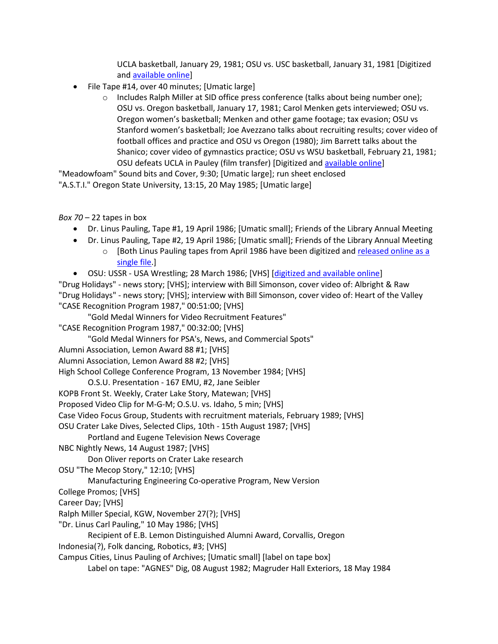UCLA basketball, January 29, 1981; OSU vs. USC basketball, January 31, 1981 [Digitized and [available online\]](https://media.oregonstate.edu/media/t/0_ogngozwp)

- File Tape #14, over 40 minutes; [Umatic large]
	- o Includes Ralph Miller at SID office press conference (talks about being number one); OSU vs. Oregon basketball, January 17, 1981; Carol Menken gets interviewed; OSU vs. Oregon women's basketball; Menken and other game footage; tax evasion; OSU vs Stanford women's basketball; Joe Avezzano talks about recruiting results; cover video of football offices and practice and OSU vs Oregon (1980); Jim Barrett talks about the Shanico; cover video of gymnastics practice; OSU vs WSU basketball, February 21, 1981; OSU defeats UCLA in Pauley (film transfer) [Digitized and [available online\]](https://media.oregonstate.edu/media/t/0_dhvkfb2b)

"Meadowfoam" Sound bits and Cover, 9:30; [Umatic large]; run sheet enclosed "A.S.T.I." Oregon State University, 13:15, 20 May 1985; [Umatic large]

*Box 70* – 22 tapes in box

- Dr. Linus Pauling, Tape #1, 19 April 1986; [Umatic small]; Friends of the Library Annual Meeting
- Dr. Linus Pauling, Tape #2, 19 April 1986; [Umatic small]; Friends of the Library Annual Meeting o [Both Linus Pauling tapes from April 1986 have been digitized and [released online as a](https://media.oregonstate.edu/media/t/0_m5os0oho)  [single file.](https://media.oregonstate.edu/media/t/0_m5os0oho)]
- OSU: USSR USA Wrestling; 28 March 1986; [VHS] [\[digitized and available online\]](http://media.oregonstate.edu/media/t/0_f57amni9/2947392)

"Drug Holidays" - news story; [VHS]; interview with Bill Simonson, cover video of: Albright & Raw "Drug Holidays" - news story; [VHS]; interview with Bill Simonson, cover video of: Heart of the Valley "CASE Recognition Program 1987," 00:51:00; [VHS]

"Gold Medal Winners for Video Recruitment Features"

"CASE Recognition Program 1987," 00:32:00; [VHS]

"Gold Medal Winners for PSA's, News, and Commercial Spots"

Alumni Association, Lemon Award 88 #1; [VHS]

Alumni Association, Lemon Award 88 #2; [VHS]

High School College Conference Program, 13 November 1984; [VHS]

O.S.U. Presentation - 167 EMU, #2, Jane Seibler

KOPB Front St. Weekly, Crater Lake Story, Matewan; [VHS]

Proposed Video Clip for M-G-M; O.S.U. vs. Idaho, 5 min; [VHS]

Case Video Focus Group, Students with recruitment materials, February 1989; [VHS]

OSU Crater Lake Dives, Selected Clips, 10th - 15th August 1987; [VHS]

Portland and Eugene Television News Coverage

```
NBC Nightly News, 14 August 1987; [VHS]
```
Don Oliver reports on Crater Lake research

```
OSU "The Mecop Story," 12:10; [VHS]
```
Manufacturing Engineering Co-operative Program, New Version

College Promos; [VHS]

Career Day; [VHS]

Ralph Miller Special, KGW, November 27(?); [VHS]

"Dr. Linus Carl Pauling," 10 May 1986; [VHS]

Recipient of E.B. Lemon Distinguished Alumni Award, Corvallis, Oregon

Indonesia(?), Folk dancing, Robotics, #3; [VHS]

Campus Cities, Linus Pauling of Archives; [Umatic small] [label on tape box]

Label on tape: "AGNES" Dig, 08 August 1982; Magruder Hall Exteriors, 18 May 1984